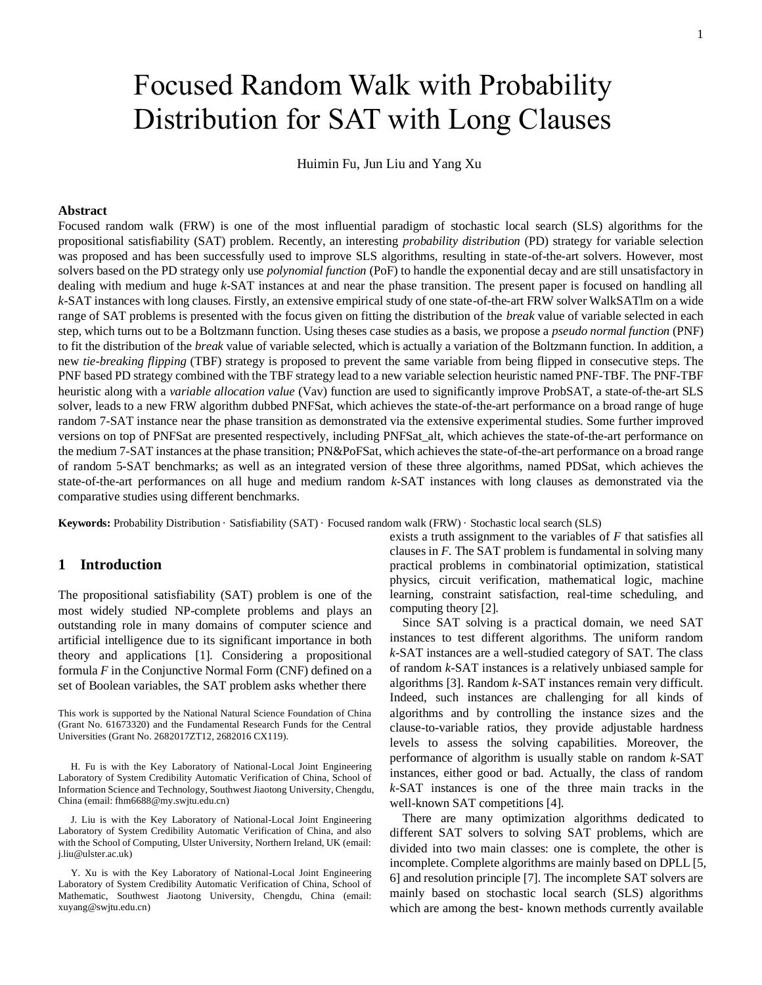# Focused Random Walk with Probability Distribution for SAT with Long Clauses

Huimin Fu, Jun Liu and Yang Xu

#### **Abstract**

Focused random walk (FRW) is one of the most influential paradigm of stochastic local search (SLS) algorithms for the propositional satisfiability (SAT) problem. Recently, an interesting *probability distribution* (PD) strategy for variable selection was proposed and has been successfully used to improve SLS algorithms, resulting in state-of-the-art solvers. However, most solvers based on the PD strategy only use *polynomial function* (PoF) to handle the exponential decay and are still unsatisfactory in dealing with medium and huge *k*-SAT instances at and near the phase transition. The present paper is focused on handling all *k*-SAT instances with long clauses. Firstly, an extensive empirical study of one state-of-the-art FRW solver WalkSATlm on a wide range of SAT problems is presented with the focus given on fitting the distribution of the *break* value of variable selected in each step, which turns out to be a Boltzmann function. Using theses case studies as a basis, we propose a *pseudo normal function* (PNF) to fit the distribution of the *break* value of variable selected, which is actually a variation of the Boltzmann function. In addition, a new *tie-breaking flipping* (TBF) strategy is proposed to prevent the same variable from being flipped in consecutive steps. The PNF based PD strategy combined with the TBF strategy lead to a new variable selection heuristic named PNF-TBF. The PNF-TBF heuristic along with a *variable allocation value* (Vav) function are used to significantly improve ProbSAT, a state-of-the-art SLS solver, leads to a new FRW algorithm dubbed PNFSat, which achieves the state-of-the-art performance on a broad range of huge random 7-SAT instance near the phase transition as demonstrated via the extensive experimental studies. Some further improved versions on top of PNFSat are presented respectively, including PNFSat\_alt, which achieves the state-of-the-art performance on the medium 7-SAT instances at the phase transition; PN&PoFSat, which achieves the state-of-the-art performance on a broad range of random 5-SAT benchmarks; as well as an integrated version of these three algorithms, named PDSat, which achieves the state-of-the-art performances on all huge and medium random *k*-SAT instances with long clauses as demonstrated via the comparative studies using different benchmarks.

**Keywords:** Probability Distribution · Satisfiability (SAT) · Focused random walk (FRW) · Stochastic local search (SLS)

# **1 Introduction**

The propositional satisfiability (SAT) problem is one of the most widely studied NP-complete problems and plays an outstanding role in many domains of computer science and artificial intelligence due to its significant importance in both theory and applications [1]. Considering a propositional formula *F* in the Conjunctive Normal Form (CNF) defined on a set of Boolean variables, the SAT problem asks whether there

This work is supported by the National Natural Science Foundation of China (Grant No. 61673320) and the Fundamental Research Funds for the Central Universities (Grant No. 2682017ZT12, 2682016 CX119).

H. Fu is with the Key Laboratory of National-Local Joint Engineering Laboratory of System Credibility Automatic Verification of China, School of Information Science and Technology, Southwest Jiaotong University, Chengdu, China (email[: fhm6688@my.swjtu.edu.cn\)](mailto:fhm6688@my.swjtu.edu.cn)

J. Liu is with the Key Laboratory of National-Local Joint Engineering Laboratory of System Credibility Automatic Verification of China, and also with the School of Computing, Ulster University, Northern Ireland, UK (email: [j.liu@ulster.ac.uk\)](mailto:j.liu@ulster.ac.uk)

Y. Xu is with the Key Laboratory of National-Local Joint Engineering Laboratory of System Credibility Automatic Verification of China, School of Mathematic, Southwest Jiaotong University, Chengdu, China (email: xuyang@swjtu.edu.cn)

exists a truth assignment to the variables of *F* that satisfies all clauses in *F.* The SAT problem is fundamental in solving many practical problems in combinatorial optimization, statistical physics, circuit verification, mathematical logic, machine learning, constraint satisfaction, real-time scheduling, and computing theory [2].

Since SAT solving is a practical domain, we need SAT instances to test different algorithms. The uniform random *k-*SAT instances are a well-studied category of SAT. The class of random *k-*SAT instances is a relatively unbiased sample for algorithms [3]. Random *k*-SAT instances remain very difficult. Indeed, such instances are challenging for all kinds of algorithms and by controlling the instance sizes and the clause-to-variable ratios, they provide adjustable hardness levels to assess the solving capabilities. Moreover, the performance of algorithm is usually stable on random *k*-SAT instances, either good or bad. Actually, the class of random *k*-SAT instances is one of the three main tracks in the well-known SAT competitions [4].

There are many optimization algorithms dedicated to different SAT solvers to solving SAT problems, which are divided into two main classes: one is complete, the other is incomplete. Complete algorithms are mainly based on DPLL [5, 6] and resolution principle [7]. The incomplete SAT solvers are mainly based on stochastic local search (SLS) algorithms which are among the best- known methods currently available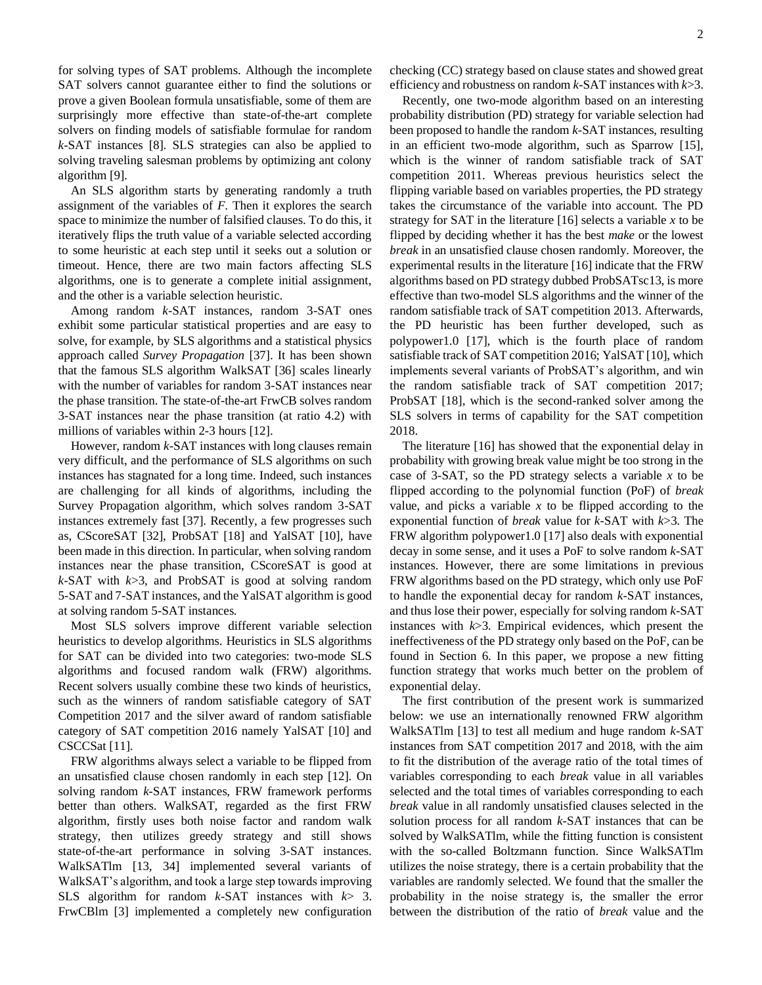for solving types of SAT problems. Although the incomplete SAT solvers cannot guarantee either to find the solutions or prove a given Boolean formula unsatisfiable, some of them are surprisingly more effective than state-of-the-art complete solvers on finding models of satisfiable formulae for random *k*-SAT instances [8]. SLS strategies can also be applied to solving traveling salesman problems by optimizing ant colony algorithm [9].

An SLS algorithm starts by generating randomly a truth assignment of the variables of *F*. Then it explores the search space to minimize the number of falsified clauses. To do this, it iteratively flips the truth value of a variable selected according to some heuristic at each step until it seeks out a solution or timeout. Hence, there are two main factors affecting SLS algorithms, one is to generate a complete initial assignment, and the other is a variable selection heuristic.

Among random *k*-SAT instances, random 3-SAT ones exhibit some particular statistical properties and are easy to solve, for example, by SLS algorithms and a statistical physics approach called *Survey Propagation* [37]. It has been shown that the famous SLS algorithm WalkSAT [36] scales linearly with the number of variables for random 3-SAT instances near the phase transition. The state-of-the-art FrwCB solves random 3-SAT instances near the phase transition (at ratio 4.2) with millions of variables within 2-3 hours [12].

However, random *k*-SAT instances with long clauses remain very difficult, and the performance of SLS algorithms on such instances has stagnated for a long time. Indeed, such instances are challenging for all kinds of algorithms, including the Survey Propagation algorithm, which solves random 3-SAT instances extremely fast [37]. Recently, a few progresses such as, CScoreSAT [32], ProbSAT [18] and YalSAT [10], have been made in this direction. In particular, when solving random instances near the phase transition, CScoreSAT is good at *k*-SAT with *k*>3, and ProbSAT is good at solving random 5-SAT and 7-SAT instances, and the YalSAT algorithm is good at solving random 5-SAT instances.

Most SLS solvers improve different variable selection heuristics to develop algorithms. Heuristics in SLS algorithms for SAT can be divided into two categories: two-mode SLS algorithms and focused random walk (FRW) algorithms. Recent solvers usually combine these two kinds of heuristics, such as the winners of random satisfiable category of SAT Competition 2017 and the silver award of random satisfiable category of SAT competition 2016 namely YalSAT [10] and CSCCSat [11].

FRW algorithms always select a variable to be flipped from an unsatisfied clause chosen randomly in each step [12]. On solving random *k*-SAT instances, FRW framework performs better than others. WalkSAT, regarded as the first FRW algorithm, firstly uses both noise factor and random walk strategy, then utilizes greedy strategy and still shows state-of-the-art performance in solving 3-SAT instances. WalkSATlm [13, 34] implemented several variants of WalkSAT's algorithm, and took a large step towards improving SLS algorithm for random *k*-SAT instances with *k*> 3. FrwCBlm [3] implemented a completely new configuration

Recently, one two-mode algorithm based on an interesting probability distribution (PD) strategy for variable selection had been proposed to handle the random *k*-SAT instances, resulting in an efficient two-mode algorithm, such as Sparrow [15], which is the winner of random satisfiable track of SAT competition 2011. Whereas previous heuristics select the flipping variable based on variables properties, the PD strategy takes the circumstance of the variable into account. The PD strategy for SAT in the literature [16] selects a variable *x* to be flipped by deciding whether it has the best *make* or the lowest *break* in an unsatisfied clause chosen randomly. Moreover, the experimental results in the literature [16] indicate that the FRW algorithms based on PD strategy dubbed ProbSATsc13, is more effective than two-model SLS algorithms and the winner of the random satisfiable track of SAT competition 2013. Afterwards, the PD heuristic has been further developed, such as polypower1.0 [17], which is the fourth place of random satisfiable track of SAT competition 2016; YalSAT [10], which implements several variants of ProbSAT's algorithm, and win the random satisfiable track of SAT competition 2017; ProbSAT [18], which is the second-ranked solver among the SLS solvers in terms of capability for the SAT competition 2018.

The literature [16] has showed that the exponential delay in probability with growing break value might be too strong in the case of 3-SAT, so the PD strategy selects a variable *x* to be flipped according to the polynomial function (PoF) of *break* value, and picks a variable  $x$  to be flipped according to the exponential function of *break* value for *k*-SAT with *k*>3. The FRW algorithm polypower1.0 [17] also deals with exponential decay in some sense, and it uses a PoF to solve random *k*-SAT instances. However, there are some limitations in previous FRW algorithms based on the PD strategy, which only use PoF to handle the exponential decay for random *k*-SAT instances, and thus lose their power, especially for solving random *k*-SAT instances with *k*>3. Empirical evidences, which present the ineffectiveness of the PD strategy only based on the PoF, can be found in Section 6. In this paper, we propose a new fitting function strategy that works much better on the problem of exponential delay.

The first contribution of the present work is summarized below: we use an internationally renowned FRW algorithm WalkSATlm [13] to test all medium and huge random *k*-SAT instances from SAT competition 2017 and 2018, with the aim to fit the distribution of the average ratio of the total times of variables corresponding to each *break* value in all variables selected and the total times of variables corresponding to each *break* value in all randomly unsatisfied clauses selected in the solution process for all random *k*-SAT instances that can be solved by WalkSATlm, while the fitting function is consistent with the so-called Boltzmann function. Since WalkSATlm utilizes the noise strategy, there is a certain probability that the variables are randomly selected. We found that the smaller the probability in the noise strategy is, the smaller the error between the distribution of the ratio of *break* value and the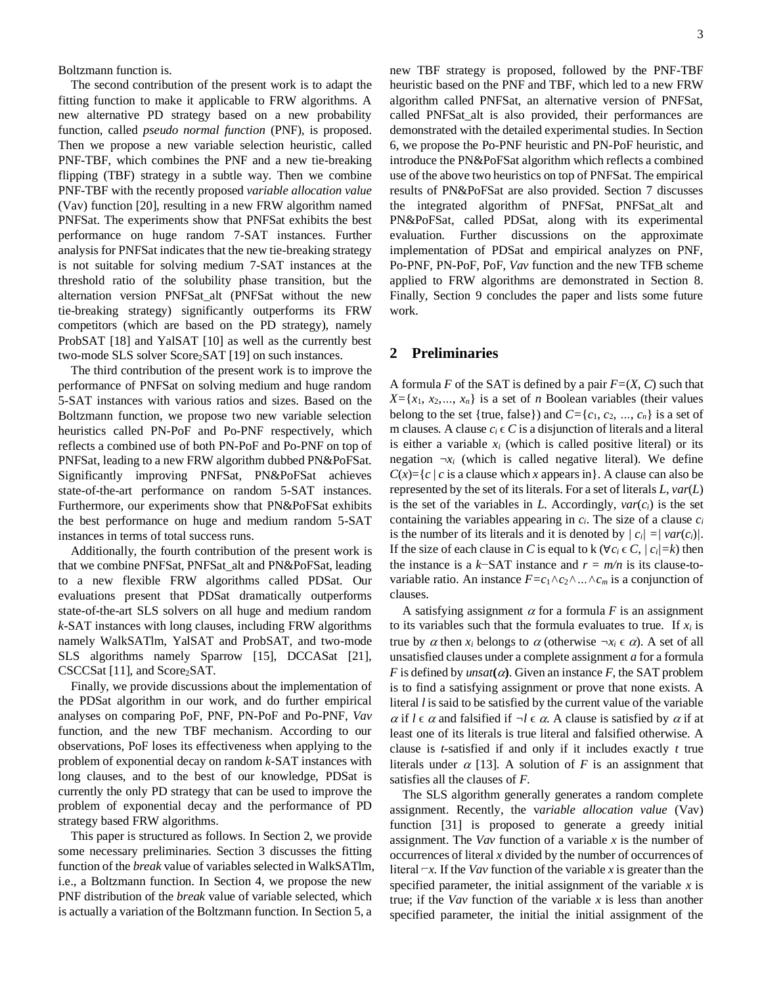Boltzmann function is.

The second contribution of the present work is to adapt the fitting function to make it applicable to FRW algorithms. A new alternative PD strategy based on a new probability function, called *pseudo normal function* (PNF), is proposed. Then we propose a new variable selection heuristic, called PNF-TBF, which combines the PNF and a new tie-breaking flipping (TBF) strategy in a subtle way. Then we combine PNF-TBF with the recently proposed *variable allocation value* (Vav) function [20], resulting in a new FRW algorithm named PNFSat. The experiments show that PNFSat exhibits the best performance on huge random 7-SAT instances. Further analysis for PNFSat indicates that the new tie-breaking strategy is not suitable for solving medium 7-SAT instances at the threshold ratio of the solubility phase transition, but the alternation version PNFSat\_alt (PNFSat without the new tie-breaking strategy) significantly outperforms its FRW competitors (which are based on the PD strategy), namely ProbSAT [18] and YalSAT [10] as well as the currently best two-mode SLS solver Score<sub>2</sub>SAT [19] on such instances.

The third contribution of the present work is to improve the performance of PNFSat on solving medium and huge random 5-SAT instances with various ratios and sizes. Based on the Boltzmann function, we propose two new variable selection heuristics called PN-PoF and Po-PNF respectively, which reflects a combined use of both PN-PoF and Po-PNF on top of PNFSat, leading to a new FRW algorithm dubbed PN&PoFSat. Significantly improving PNFSat, PN&PoFSat achieves state-of-the-art performance on random 5-SAT instances. Furthermore, our experiments show that PN&PoFSat exhibits the best performance on huge and medium random 5-SAT instances in terms of total success runs.

Additionally, the fourth contribution of the present work is that we combine PNFSat, PNFSat\_alt and PN&PoFSat, leading to a new flexible FRW algorithms called PDSat. Our evaluations present that PDSat dramatically outperforms state-of-the-art SLS solvers on all huge and medium random *k*-SAT instances with long clauses, including FRW algorithms namely WalkSATlm, YalSAT and ProbSAT, and two-mode SLS algorithms namely Sparrow [15], DCCASat [21], CSCCSat [11], and Score<sub>2</sub>SAT.

Finally, we provide discussions about the implementation of the PDSat algorithm in our work, and do further empirical analyses on comparing PoF, PNF, PN-PoF and Po-PNF, *Vav* function, and the new TBF mechanism. According to our observations, PoF loses its effectiveness when applying to the problem of exponential decay on random *k*-SAT instances with long clauses, and to the best of our knowledge, PDSat is currently the only PD strategy that can be used to improve the problem of exponential decay and the performance of PD strategy based FRW algorithms.

This paper is structured as follows. In Section 2, we provide some necessary preliminaries. Section 3 discusses the fitting function of the *break* value of variables selected in WalkSATlm, i.e., a Boltzmann function. In Section 4, we propose the new PNF distribution of the *break* value of variable selected, which is actually a variation of the Boltzmann function. In Section 5, a new TBF strategy is proposed, followed by the PNF-TBF heuristic based on the PNF and TBF, which led to a new FRW algorithm called PNFSat, an alternative version of PNFSat, called PNFSat\_alt is also provided, their performances are demonstrated with the detailed experimental studies. In Section 6, we propose the Po-PNF heuristic and PN-PoF heuristic, and introduce the PN&PoFSat algorithm which reflects a combined use of the above two heuristics on top of PNFSat. The empirical results of PN&PoFSat are also provided. Section 7 discusses the integrated algorithm of PNFSat, PNFSat\_alt and PN&PoFSat, called PDSat, along with its experimental evaluation. Further discussions on the approximate implementation of PDSat and empirical analyzes on PNF, Po-PNF, PN-PoF, PoF, *Vav* function and the new TFB scheme applied to FRW algorithms are demonstrated in Section 8. Finally, Section 9 concludes the paper and lists some future work.

## **2 Preliminaries**

A formula *F* of the SAT is defined by a pair  $F=(X, C)$  such that  $X = \{x_1, x_2, \ldots, x_n\}$  is a set of *n* Boolean variables (their values belong to the set {true, false}) and  $C = \{c_1, c_2, ..., c_n\}$  is a set of m clauses. A clause  $c_i \in C$  is a disjunction of literals and a literal is either a variable  $x_i$  (which is called positive literal) or its negation  $\neg x_i$  (which is called negative literal). We define  $C(x)=\{c \mid c \text{ is a clause which } x \text{ appears in }\}.$  A clause can also be represented by the set of its literals. For a set of literals *L*, *var*(*L*) is the set of the variables in  $L$ . Accordingly,  $var(c_i)$  is the set containing the variables appearing in *ci*. The size of a clause *c<sup>i</sup>* is the number of its literals and it is denoted by  $|c_i| = |var(c_i)|$ . If the size of each clause in *C* is equal to k ( $\forall c_i \in C$ ,  $|c_i| = k$ ) then the instance is a *k*−SAT instance and *r = m/n* is its clause-tovariable ratio. An instance  $F = c_1 \wedge c_2 \wedge ... \wedge c_m$  is a conjunction of clauses.

A satisfying assignment  $\alpha$  for a formula *F* is an assignment to its variables such that the formula evaluates to true. If  $x_i$  is true by  $\alpha$  then  $x_i$  belongs to  $\alpha$  (otherwise  $\neg x_i \in \alpha$ ). A set of all unsatisfied clauses under a complete assignment *a* for a formula *F* is defined by *unsat* $(\alpha)$ . Given an instance *F*, the SAT problem is to find a satisfying assignment or prove that none exists. A literal *l* is said to be satisfied by the current value of the variable  $\alpha$  if  $l \in \alpha$  and falsified if  $\neg l \in \alpha$ . A clause is satisfied by  $\alpha$  if at least one of its literals is true literal and falsified otherwise. A clause is *t*-satisfied if and only if it includes exactly *t* true literals under  $\alpha$  [13]. A solution of *F* is an assignment that satisfies all the clauses of *F.* 

The SLS algorithm generally generates a random complete assignment. Recently, the v*ariable allocation value* (Vav) function [31] is proposed to generate a greedy initial assignment. The *Vav* function of a variable *x* is the number of occurrences of literal *x* divided by the number of occurrences of literal  $-x$ . If the *Vav* function of the variable *x* is greater than the specified parameter, the initial assignment of the variable *x* is true; if the *Vav* function of the variable *x* is less than another specified parameter, the initial the initial assignment of the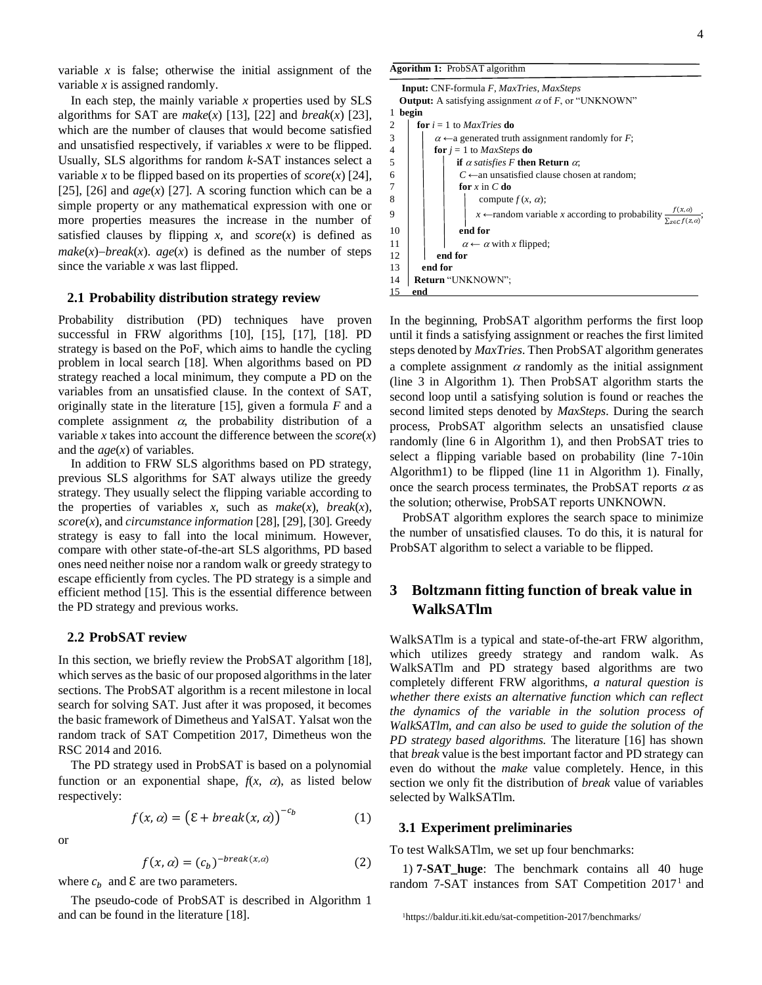variable *x* is false; otherwise the initial assignment of the variable *x* is assigned randomly.

In each step, the mainly variable *x* properties used by SLS algorithms for SAT are  $make(x)$  [13], [22] and  $break(x)$  [23], which are the number of clauses that would become satisfied and unsatisfied respectively, if variables *x* were to be flipped. Usually, SLS algorithms for random *k-*SAT instances select a variable *x* to be flipped based on its properties of  $score(x)$  [24], [25], [26] and  $age(x)$  [27]. A scoring function which can be a simple property or any mathematical expression with one or more properties measures the increase in the number of satisfied clauses by flipping  $x$ , and  $score(x)$  is defined as  $make(x)$ −*break* $(x)$ . *age* $(x)$  is defined as the number of steps since the variable *x* was last flipped.

#### **2.1 Probability distribution strategy review**

Probability distribution (PD) techniques have proven successful in FRW algorithms [10], [15], [17], [18]. PD strategy is based on the PoF, which aims to handle the cycling problem in local search [18]. When algorithms based on PD strategy reached a local minimum, they compute a PD on the variables from an unsatisfied clause. In the context of SAT, originally state in the literature [15], given a formula *F* and a complete assignment  $\alpha$ , the probability distribution of a variable *x* takes into account the difference between the *score*(*x*) and the *age*(*x*) of variables.

In addition to FRW SLS algorithms based on PD strategy, previous SLS algorithms for SAT always utilize the greedy strategy. They usually select the flipping variable according to the properties of variables *x*, such as  $make(x)$ , break $(x)$ , *score*(*x*), and *circumstance information* [28], [29], [30]. Greedy strategy is easy to fall into the local minimum. However, compare with other state-of-the-art SLS algorithms, PD based ones need neither noise nor a random walk or greedy strategy to escape efficiently from cycles. The PD strategy is a simple and efficient method [15]. This is the essential difference between the PD strategy and previous works.

#### **2.2 ProbSAT review**

In this section, we briefly review the ProbSAT algorithm [18], which serves as the basic of our proposed algorithms in the later sections. The ProbSAT algorithm is a recent milestone in local search for solving SAT. Just after it was proposed, it becomes the basic framework of Dimetheus and YalSAT. Yalsat won the random track of SAT Competition 2017, Dimetheus won the RSC 2014 and 2016.

The PD strategy used in ProbSAT is based on a polynomial function or an exponential shape,  $f(x, \alpha)$ , as listed below respectively:

$$
f(x, \alpha) = (\mathcal{E} + break(x, \alpha))^{-c_b}
$$
 (1)

or

$$
f(x, \alpha) = (c_b)^{-break(x, \alpha)}
$$

(2)

where  $c_h$  and  $\epsilon$  are two parameters.

The pseudo-code of ProbSAT is described in Algorithm 1 and can be found in the literature [18].

**Input:** CNF-formula *F*, *MaxTries*, *MaxSteps* **Output:** A satisfying assignment  $\alpha$  of  $F$ , or "UNKNOWN" 1 **begin** 2  $\vert$  **for**  $i = 1$  to *MaxTries* **do**  $\alpha \leftarrow$ a generated truth assignment randomly for *F*;  $4 \mid \textbf{for } j = 1 \text{ to } MaxSteps \textbf{ do}$ 5 **i if**  $\alpha$  *satisfies* F **then Return**  $\alpha$ ;  $6 \mid \cdot \cdot \cdot \cdot C \leftarrow$ an unsatisfied clause chosen at random; 7 **for** *x* in *C* **do** 8  $\vert$   $\vert$   $\vert$   $\vert$  compute  $f(x, \alpha);$ 9  $\begin{array}{|c|c|c|c|c|} \hline \end{array}$  *x* ← random variable *x* according to probability  $\frac{f(x, a)}{\sum_{x \in C} f(z, a)}$ ; 10 **end for** 11  $\alpha \leftarrow \alpha$  with *x* flipped; 12 **end for** 13 **end for** 14 **Return** "UNKNOWN"; 15 **end**

In the beginning, ProbSAT algorithm performs the first loop until it finds a satisfying assignment or reaches the first limited steps denoted by *MaxTries*. Then ProbSAT algorithm generates a complete assignment  $\alpha$  randomly as the initial assignment (line 3 in Algorithm 1). Then ProbSAT algorithm starts the second loop until a satisfying solution is found or reaches the second limited steps denoted by *MaxSteps*. During the search process, ProbSAT algorithm selects an unsatisfied clause randomly (line 6 in Algorithm 1), and then ProbSAT tries to select a flipping variable based on probability (line 7-10in Algorithm1) to be flipped (line 11 in Algorithm 1). Finally, once the search process terminates, the ProbSAT reports  $\alpha$  as the solution; otherwise, ProbSAT reports UNKNOWN.

ProbSAT algorithm explores the search space to minimize the number of unsatisfied clauses. To do this, it is natural for ProbSAT algorithm to select a variable to be flipped.

# **3 Boltzmann fitting function of break value in WalkSATlm**

WalkSATlm is a typical and state-of-the-art FRW algorithm, which utilizes greedy strategy and random walk. As WalkSATlm and PD strategy based algorithms are two completely different FRW algorithms, *a natural question is whether there exists an alternative function which can reflect the dynamics of the variable in the solution process of WalkSATlm*, *and can also be used to guide the solution of the PD strategy based algorithms.* The literature [16] has shown that *break* value is the best important factor and PD strategy can even do without the *make* value completely. Hence, in this section we only fit the distribution of *break* value of variables selected by WalkSATlm.

### **3.1 Experiment preliminaries**

To test WalkSATlm, we set up four benchmarks:

1) **7-SAT\_huge**: The benchmark contains all 40 huge random  $7-SAT$  instances from SAT Competition  $2017<sup>1</sup>$  and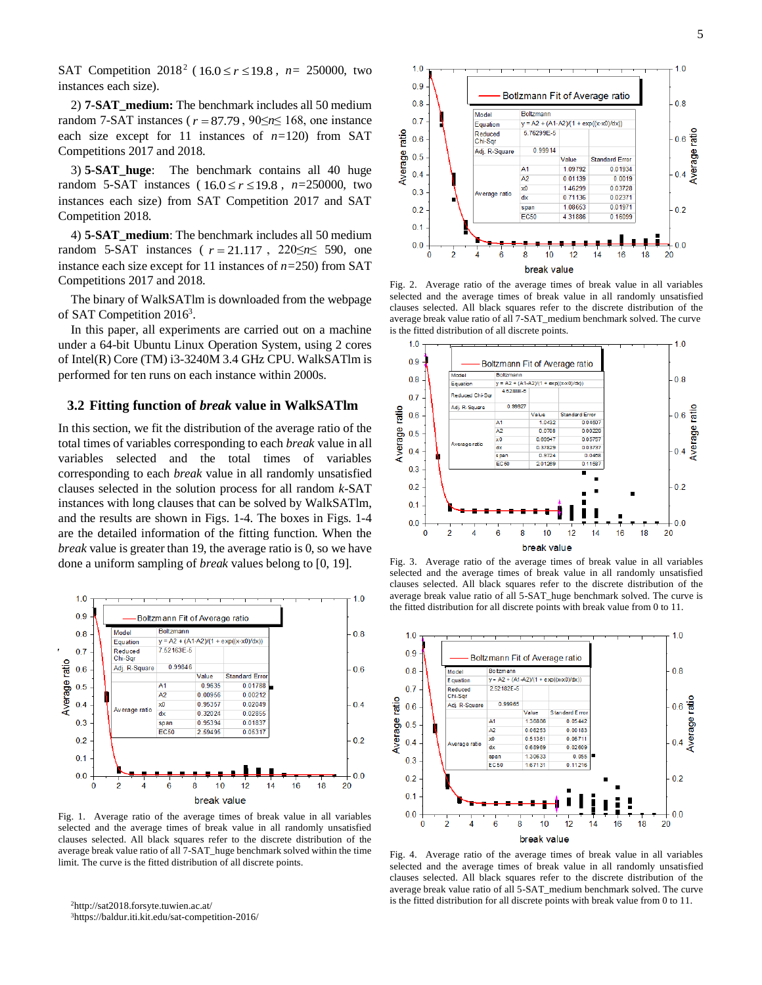SAT Competition  $2018^2$  ( $16.0 \le r \le 19.8$ ,  $n= 250000$ , two instances each size).

2) **7-SAT\_medium:** The benchmark includes all 50 medium random 7-SAT instances ( $r = 87.79$ ,  $90 \le n \le 168$ , one instance each size except for 11 instances of *n=*120) from SAT Competitions 2017 and 2018.

3) **5-SAT\_huge**: The benchmark contains all 40 huge random 5-SAT instances  $(16.0 \le r \le 19.8, n=250000, two)$ instances each size) from SAT Competition 2017 and SAT Competition 2018.

4) **5-SAT\_medium**: The benchmark includes all 50 medium random 5-SAT instances ( $r = 21.117$ ,  $220 \le n \le 590$ , one instance each size except for 11 instances of *n=*250) from SAT Competitions 2017 and 2018.

The binary of WalkSATlm is downloaded from the webpage of SAT Competition 2016<sup>3</sup>.

In this paper, all experiments are carried out on a machine under a 64-bit Ubuntu Linux Operation System, using 2 cores of Intel(R) Core (TM) i3-3240M 3.4 GHz CPU. WalkSATlm is performed for ten runs on each instance within 2000s.

## **3.2 Fitting function of** *break* **value in WalkSATlm**

In this section, we fit the distribution of the average ratio of the total times of variables corresponding to each *break* value in all variables selected and the total times of variables corresponding to each *break* value in all randomly unsatisfied clauses selected in the solution process for all random *k*-SAT instances with long clauses that can be solved by WalkSATlm, and the results are shown in Figs. 1-4. The boxes in Figs. 1-4 are the detailed information of the fitting function. When the *break* value is greater than 19, the average ratio is 0, so we have done a uniform sampling of *break* values belong to [0, 19].



Fig. 1. Average ratio of the average times of break value in all variables selected and the average times of break value in all randomly unsatisfied clauses selected. All black squares refer to the discrete distribution of the average break value ratio of all 7-SAT\_huge benchmark solved within the time limit. The curve is the fitted distribution of all discrete points.

<sup>2</sup>http://sat2018.forsyte.tuwien.ac.at/

<sup>3</sup>https://baldur.iti.kit.edu/sat-competition-2016/



Fig. 2. Average ratio of the average times of break value in all variables selected and the average times of break value in all randomly unsatisfied clauses selected. All black squares refer to the discrete distribution of the average break value ratio of all 7-SAT\_medium benchmark solved. The curve is the fitted distribution of all discrete points.



Fig. 3. Average ratio of the average times of break value in all variables selected and the average times of break value in all randomly unsatisfied clauses selected. All black squares refer to the discrete distribution of the average break value ratio of all 5-SAT\_huge benchmark solved. The curve is the fitted distribution for all discrete points with break value from 0 to 11.



Fig. 4. Average ratio of the average times of break value in all variables selected and the average times of break value in all randomly unsatisfied clauses selected. All black squares refer to the discrete distribution of the average break value ratio of all 5-SAT\_medium benchmark solved. The curve is the fitted distribution for all discrete points with break value from 0 to 11.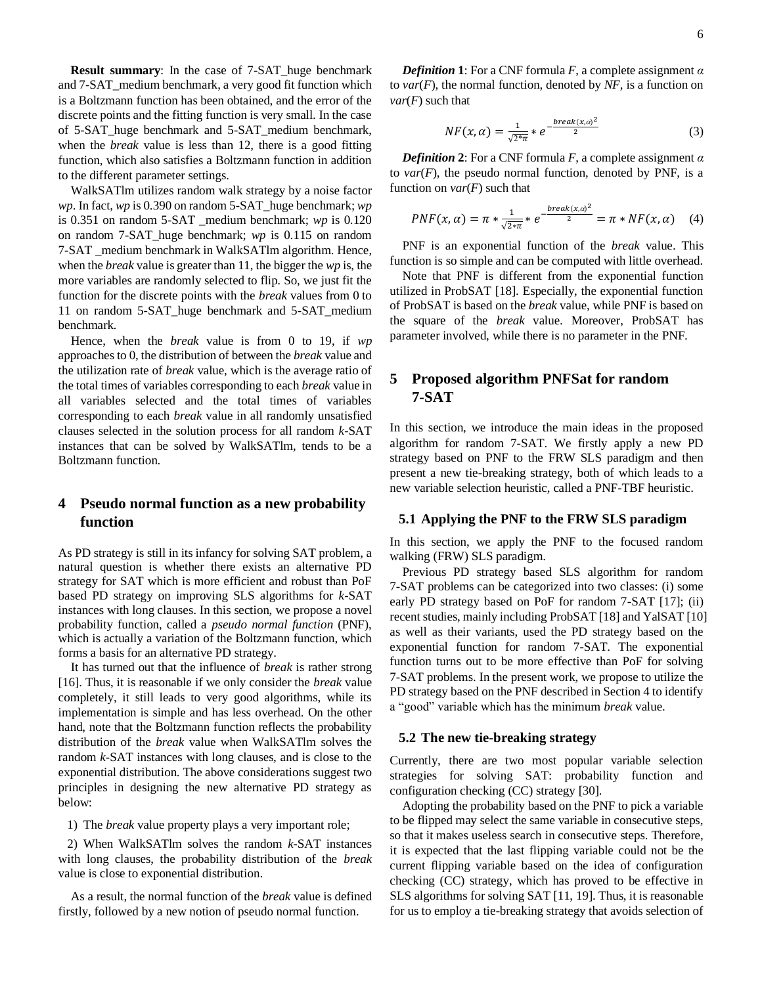**Result summary**: In the case of 7-SAT\_huge benchmark and 7-SAT\_medium benchmark, a very good fit function which is a Boltzmann function has been obtained, and the error of the discrete points and the fitting function is very small. In the case of 5-SAT\_huge benchmark and 5-SAT\_medium benchmark, when the *break* value is less than 12, there is a good fitting function, which also satisfies a Boltzmann function in addition to the different parameter settings.

WalkSATlm utilizes random walk strategy by a noise factor *wp*. In fact, *wp* is 0.390 on random 5-SAT\_huge benchmark; *wp*  is 0.351 on random 5-SAT \_medium benchmark; *wp* is 0.120 on random 7-SAT\_huge benchmark; *wp* is 0.115 on random 7-SAT \_medium benchmark in WalkSATlm algorithm. Hence, when the *break* value is greater than 11, the bigger the *wp* is, the more variables are randomly selected to flip. So, we just fit the function for the discrete points with the *break* values from 0 to 11 on random 5-SAT\_huge benchmark and 5-SAT\_medium benchmark.

Hence, when the *break* value is from 0 to 19, if *wp* approaches to 0, the distribution of between the *break* value and the utilization rate of *break* value, which is the average ratio of the total times of variables corresponding to each *break* value in all variables selected and the total times of variables corresponding to each *break* value in all randomly unsatisfied clauses selected in the solution process for all random *k*-SAT instances that can be solved by WalkSATlm, tends to be a Boltzmann function.

# **4 Pseudo normal function as a new probability function**

As PD strategy is still in its infancy for solving SAT problem, a natural question is whether there exists an alternative PD strategy for SAT which is more efficient and robust than PoF based PD strategy on improving SLS algorithms for *k*-SAT instances with long clauses. In this section, we propose a novel probability function, called a *pseudo normal function* (PNF), which is actually a variation of the Boltzmann function, which forms a basis for an alternative PD strategy.

It has turned out that the influence of *break* is rather strong [16]. Thus, it is reasonable if we only consider the *break* value completely, it still leads to very good algorithms, while its implementation is simple and has less overhead. On the other hand, note that the Boltzmann function reflects the probability distribution of the *break* value when WalkSATlm solves the random *k*-SAT instances with long clauses, and is close to the exponential distribution. The above considerations suggest two principles in designing the new alternative PD strategy as below:

1) The *break* value property plays a very important role;

2) When WalkSATlm solves the random *k*-SAT instances with long clauses, the probability distribution of the *break* value is close to exponential distribution.

As a result, the normal function of the *break* value is defined firstly, followed by a new notion of pseudo normal function.

*Definition* **1**: For a CNF formula *F*, a complete assignment *α* to *var*(*F*), the normal function, denoted by *NF*, is a function on *var*(*F*) such that

$$
NF(x, \alpha) = \frac{1}{\sqrt{2\pi\pi}} * e^{-\frac{break(x, \alpha)^2}{2}}
$$
\n(3)

j *Definition* **2**: For a CNF formula *F*, a complete assignment *α* to  $var(F)$ , the pseudo normal function, denoted by PNF, is a function on  $var(F)$  such that

$$
PNF(x, \alpha) = \pi * \frac{1}{\sqrt{2 \pi \pi}} * e^{-\frac{break(x, \alpha)^2}{2}} = \pi * NF(x, \alpha) \quad (4)
$$

PNF is an exponential function of the *break* value. This function is so simple and can be computed with little overhead.

Note that PNF is different from the exponential function utilized in ProbSAT [18]. Especially, the exponential function of ProbSAT is based on the *break* value, while PNF is based on the square of the *break* value. Moreover, ProbSAT has parameter involved, while there is no parameter in the PNF.

# **5 Proposed algorithm PNFSat for random 7-SAT**

In this section, we introduce the main ideas in the proposed algorithm for random 7-SAT. We firstly apply a new PD strategy based on PNF to the FRW SLS paradigm and then present a new tie-breaking strategy, both of which leads to a new variable selection heuristic, called a PNF-TBF heuristic.

## **5.1 Applying the PNF to the FRW SLS paradigm**

In this section, we apply the PNF to the focused random walking (FRW) SLS paradigm.

Previous PD strategy based SLS algorithm for random 7-SAT problems can be categorized into two classes: (i) some early PD strategy based on PoF for random 7-SAT [17]; (ii) recent studies, mainly including ProbSAT [18] and YalSAT [10] as well as their variants, used the PD strategy based on the exponential function for random 7-SAT. The exponential function turns out to be more effective than PoF for solving 7-SAT problems. In the present work, we propose to utilize the PD strategy based on the PNF described in Section 4 to identify a "good" variable which has the minimum *break* value.

#### **5.2 The new tie-breaking strategy**

Currently, there are two most popular variable selection strategies for solving SAT: probability function and configuration checking (CC) strategy [30].

Adopting the probability based on the PNF to pick a variable to be flipped may select the same variable in consecutive steps, so that it makes useless search in consecutive steps. Therefore, it is expected that the last flipping variable could not be the current flipping variable based on the idea of configuration checking (CC) strategy, which has proved to be effective in SLS algorithms for solving SAT [11, 19]. Thus, it is reasonable for us to employ a tie-breaking strategy that avoids selection of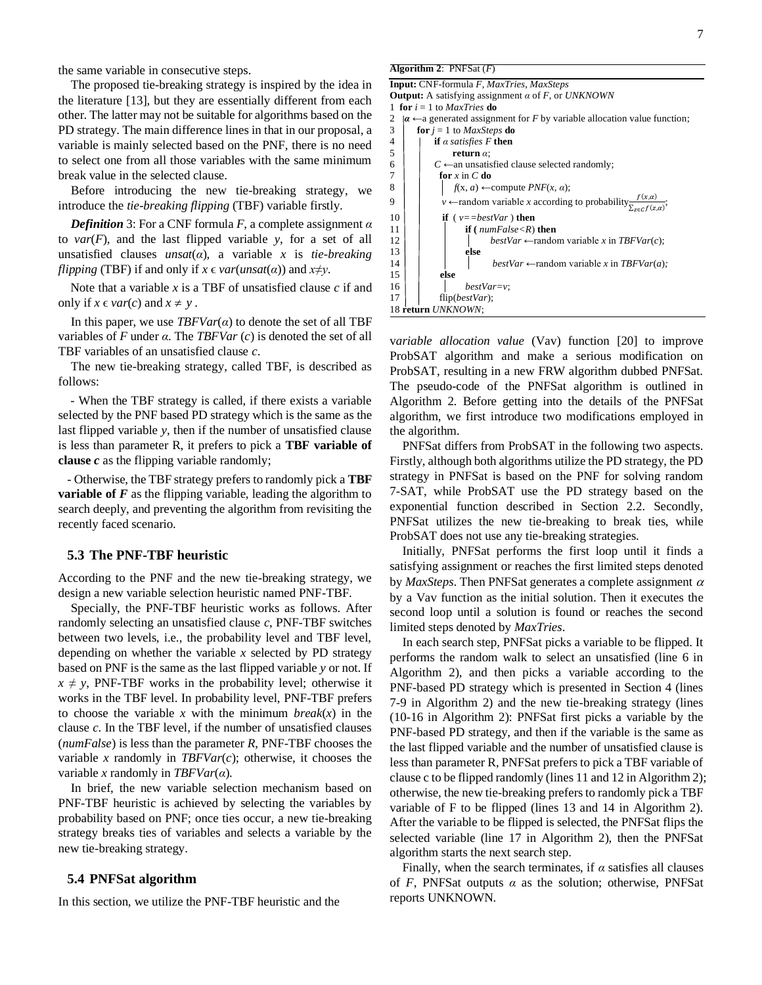the same variable in consecutive steps.

The proposed tie-breaking strategy is inspired by the idea in the literature [13], but they are essentially different from each other. The latter may not be suitable for algorithms based on the PD strategy. The main difference lines in that in our proposal, a variable is mainly selected based on the PNF, there is no need to select one from all those variables with the same minimum break value in the selected clause.

Before introducing the new tie-breaking strategy, we introduce the *tie-breaking flipping* (TBF) variable firstly.

*Definition* 3: For a CNF formula *F*, a complete assignment *α* to *var*(*F*), and the last flipped variable *y*, for a set of all unsatisfied clauses *unsat*( $\alpha$ ), a variable *x* is *tie-breaking flipping* (TBF) if and only if  $x \in \text{var}(\text{unsat}(\alpha))$  and  $x \neq y$ .

Note that a variable *x* is a TBF of unsatisfied clause *c* if and only if  $x \in \text{var}(c)$  and  $x \neq y$ .

In this paper, we use  $TBFVar(\alpha)$  to denote the set of all TBF variables of *F* under *α*. The *TBFVar* (*c*) is denoted the set of all TBF variables of an unsatisfied clause *c*.

The new tie-breaking strategy, called TBF, is described as follows:

- When the TBF strategy is called, if there exists a variable selected by the PNF based PD strategy which is the same as the last flipped variable *y*, then if the number of unsatisfied clause is less than parameter R, it prefers to pick a **TBF variable of clause** *c* as the flipping variable randomly;

- Otherwise, the TBF strategy prefers to randomly pick a **TBF variable of**  $F$  as the flipping variable, leading the algorithm to search deeply, and preventing the algorithm from revisiting the recently faced scenario.

## **5.3 The PNF-TBF heuristic**

According to the PNF and the new tie-breaking strategy, we design a new variable selection heuristic named PNF-TBF.

Specially, the PNF-TBF heuristic works as follows. After randomly selecting an unsatisfied clause *c*, PNF-TBF switches between two levels, i.e., the probability level and TBF level, depending on whether the variable *x* selected by PD strategy based on PNF is the same as the last flipped variable *y* or not. If  $x \neq y$ , PNF-TBF works in the probability level; otherwise it works in the TBF level. In probability level, PNF-TBF prefers to choose the variable  $x$  with the minimum *break* $(x)$  in the clause *c*. In the TBF level, if the number of unsatisfied clauses (*numFalse*) is less than the parameter *R*, PNF-TBF chooses the variable *x* randomly in *TBFVar*(*c*); otherwise, it chooses the variable *x* randomly in *TBFVar*(*α*).

In brief, the new variable selection mechanism based on PNF-TBF heuristic is achieved by selecting the variables by probability based on PNF; once ties occur, a new tie-breaking strategy breaks ties of variables and selects a variable by the new tie-breaking strategy.

#### **5.4 PNFSat algorithm**

In this section, we utilize the PNF-TBF heuristic and the

## **Algorithm 2**: PNFSat (*F*)

| <b>Input:</b> CNF-formula F, MaxTries, MaxSteps                                                                  |
|------------------------------------------------------------------------------------------------------------------|
| <b>Output:</b> A satisfying assignment $\alpha$ of F, or UNKNOWN                                                 |
|                                                                                                                  |
| 1 for $i = 1$ to <i>MaxTries</i> do                                                                              |
| $ \alpha \leftarrow$ a generated assignment for F by variable allocation value function;                         |
| 3<br>for $j = 1$ to <i>MaxSteps</i> do                                                                           |
| $\overline{4}$<br>if $\alpha$ satisfies F then                                                                   |
| 5<br>return $\alpha$ ;                                                                                           |
| 6<br>$C \leftarrow$ an unsatisfied clause selected randomly;                                                     |
| 7<br>for $x$ in $C$ do                                                                                           |
| 8<br>$f(x, a) \leftarrow$ compute $PNF(x, a)$ ;                                                                  |
| $v \leftarrow$ random variable <i>x</i> according to probability $\frac{f(x, a)}{\sum_{z \in c} f(z, a)}$ ;<br>9 |
| 10<br><b>if</b> ( $v = = bestVar$ ) then                                                                         |
| 11<br><b>if</b> ( $numFalse < R$ ) then                                                                          |
| 12<br><i>bestVar</i> $\leftarrow$ random variable x in <i>TBFVar(c)</i> ;                                        |
| 13<br>else                                                                                                       |
| 14<br><i>bestVar</i> $\leftarrow$ random variable x in <i>TBFVar(a)</i> ;                                        |
| 15<br>else                                                                                                       |
| 16<br>$bestVar=v$                                                                                                |
| 17<br>flip( <i>bestVar</i> );                                                                                    |
| 18 return UNKNOWN:                                                                                               |
|                                                                                                                  |

v*ariable allocation value* (Vav) function [20] to improve ProbSAT algorithm and make a serious modification on ProbSAT, resulting in a new FRW algorithm dubbed PNFSat. The pseudo-code of the PNFSat algorithm is outlined in Algorithm 2. Before getting into the details of the PNFSat algorithm, we first introduce two modifications employed in the algorithm.

PNFSat differs from ProbSAT in the following two aspects. Firstly, although both algorithms utilize the PD strategy, the PD strategy in PNFSat is based on the PNF for solving random 7-SAT, while ProbSAT use the PD strategy based on the exponential function described in Section 2.2. Secondly, PNFSat utilizes the new tie-breaking to break ties, while ProbSAT does not use any tie-breaking strategies.

Initially, PNFSat performs the first loop until it finds a satisfying assignment or reaches the first limited steps denoted by *MaxSteps*. Then PNFSat generates a complete assignment  $\alpha$ by a Vav function as the initial solution. Then it executes the second loop until a solution is found or reaches the second limited steps denoted by *MaxTries*.

In each search step, PNFSat picks a variable to be flipped. It performs the random walk to select an unsatisfied (line 6 in Algorithm 2), and then picks a variable according to the PNF-based PD strategy which is presented in Section 4 (lines 7-9 in Algorithm 2) and the new tie-breaking strategy (lines (10-16 in Algorithm 2): PNFSat first picks a variable by the PNF-based PD strategy, and then if the variable is the same as the last flipped variable and the number of unsatisfied clause is less than parameter R, PNFSat prefers to pick a TBF variable of clause c to be flipped randomly (lines 11 and 12 in Algorithm 2); otherwise, the new tie-breaking prefers to randomly pick a TBF variable of F to be flipped (lines 13 and 14 in Algorithm 2). After the variable to be flipped is selected, the PNFSat flips the selected variable (line 17 in Algorithm 2), then the PNFSat algorithm starts the next search step.

Finally, when the search terminates, if *α* satisfies all clauses of *F*, PNFSat outputs *α* as the solution; otherwise, PNFSat reports UNKNOWN.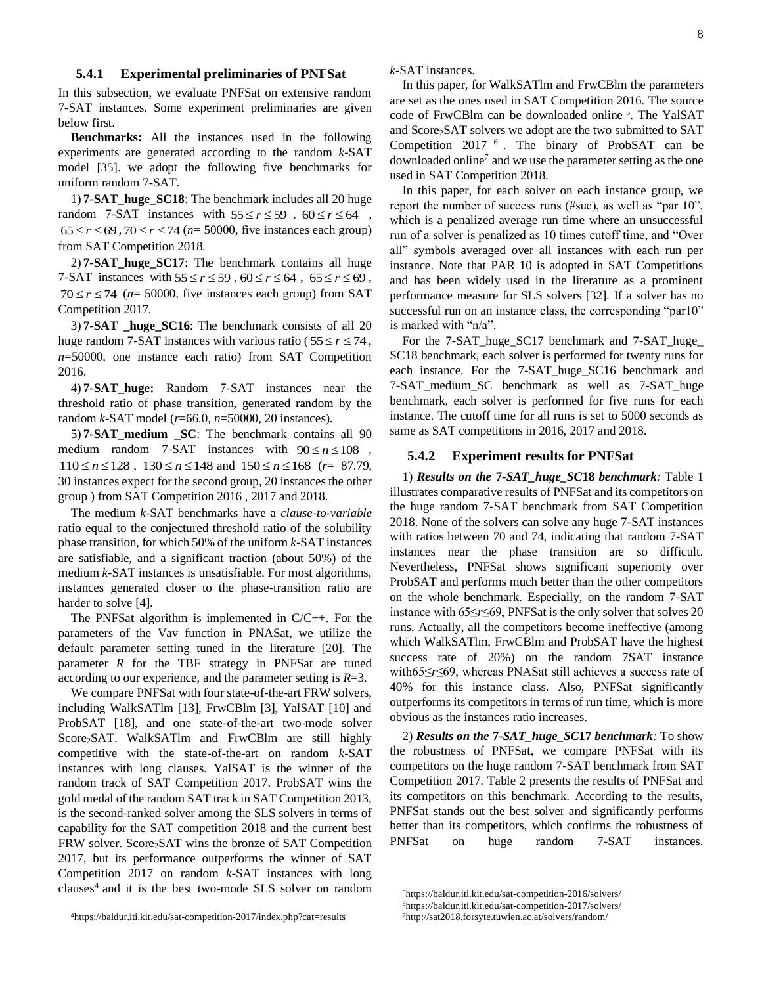## **5.4.1 Experimental preliminaries of PNFSat**

In this subsection, we evaluate PNFSat on extensive random 7-SAT instances. Some experiment preliminaries are given below first.

**Benchmarks:** All the instances used in the following experiments are generated according to the random *k*-SAT model [35]. we adopt the following five benchmarks for uniform random 7-SAT.

1) **7-SAT\_huge\_SC18**: The benchmark includes all 20 huge random 7-SAT instances with  $55 \le r \le 59$ ,  $60 \le r \le 64$ ,  $65 \le r \le 69$ ,  $70 \le r \le 74$  ( $n = 50000$ , five instances each group) from SAT Competition 2018.

2) **7-SAT\_huge\_SC17**: The benchmark contains all huge 7-SAT instances with  $55 \le r \le 59$ ,  $60 \le r \le 64$ ,  $65 \le r \le 69$ ,  $70 \le r \le 74$  ( $n= 50000$ , five instances each group) from SAT Competition 2017.

3) **7-SAT \_huge\_SC16**: The benchmark consists of all 20 huge random 7-SAT instances with various ratio ( $55 \le r \le 74$ , *n*=50000, one instance each ratio) from SAT Competition 2016.

4) **7-SAT\_huge:** Random 7-SAT instances near the threshold ratio of phase transition, generated random by the random *k*-SAT model (*r*=66.0, *n*=50000, 20 instances).

5) **7-SAT\_medium \_SC**: The benchmark contains all 90 medium random 7-SAT instances with  $90 \le n \le 108$ ,  $110 \le n \le 128$ ,  $130 \le n \le 148$  and  $150 \le n \le 168$  (*r*= 87.79, 30 instances expect for the second group, 20 instances the other group ) from SAT Competition 2016 , 2017 and 2018.

The medium *k*-SAT benchmarks have a *clause-to-variable*  ratio equal to the conjectured threshold ratio of the solubility phase transition, for which 50% of the uniform *k*-SAT instances are satisfiable, and a significant traction (about 50%) of the medium *k*-SAT instances is unsatisfiable. For most algorithms, instances generated closer to the phase-transition ratio are harder to solve [4].

The PNFSat algorithm is implemented in C/C++. For the parameters of the Vav function in PNASat, we utilize the default parameter setting tuned in the literature [20]. The parameter *R* for the TBF strategy in PNFSat are tuned according to our experience, and the parameter setting is *R*=3.

We compare PNFSat with four state-of-the-art FRW solvers, including WalkSATlm [13], FrwCBlm [3], YalSAT [10] and ProbSAT [18], and one state-of-the-art two-mode solver Score<sub>2</sub>SAT. WalkSATlm and FrwCBlm are still highly competitive with the state-of-the-art on random *k*-SAT instances with long clauses. YalSAT is the winner of the random track of SAT Competition 2017. ProbSAT wins the gold medal of the random SAT track in SAT Competition 2013, is the second-ranked solver among the SLS solvers in terms of capability for the SAT competition 2018 and the current best FRW solver. Score<sub>2</sub>SAT wins the bronze of SAT Competition 2017, but its performance outperforms the winner of SAT Competition 2017 on random *k*-SAT instances with long clauses<sup>4</sup> and it is the best two-mode SLS solver on random *k*-SAT instances.

In this paper, for WalkSATlm and FrwCBlm the parameters are set as the ones used in SAT Competition 2016. The source code of FrwCBlm can be downloaded online<sup>5</sup>. The YalSAT and Score<sub>2</sub>SAT solvers we adopt are the two submitted to SAT Competition 2017  $<sup>6</sup>$ . The binary of ProbSAT can be</sup> downloaded online<sup>7</sup> and we use the parameter setting as the one used in SAT Competition 2018.

In this paper, for each solver on each instance group, we report the number of success runs (#suc), as well as "par 10", which is a penalized average run time where an unsuccessful run of a solver is penalized as 10 times cutoff time, and "Over all" symbols averaged over all instances with each run per instance. Note that PAR 10 is adopted in SAT Competitions and has been widely used in the literature as a prominent performance measure for SLS solvers [32]. If a solver has no successful run on an instance class, the corresponding "par10" is marked with "n/a".

For the 7-SAT\_huge\_SC17 benchmark and 7-SAT\_huge\_ SC18 benchmark, each solver is performed for twenty runs for each instance. For the 7-SAT\_huge\_SC16 benchmark and 7-SAT\_medium\_SC benchmark as well as 7-SAT\_huge benchmark, each solver is performed for five runs for each instance. The cutoff time for all runs is set to 5000 seconds as same as SAT competitions in 2016, 2017 and 2018.

## **5.4.2 Experiment results for PNFSat**

1) *Results on the* **7***-SAT\_huge\_SC***18** *benchmark:* Table 1 illustrates comparative results of PNFSat and its competitors on the huge random 7-SAT benchmark from SAT Competition 2018. None of the solvers can solve any huge 7-SAT instances with ratios between 70 and 74, indicating that random 7-SAT instances near the phase transition are so difficult. Nevertheless, PNFSat shows significant superiority over ProbSAT and performs much better than the other competitors on the whole benchmark. Especially, on the random 7-SAT instance with 65≤*r*≤69, PNFSat is the only solver that solves 20 runs. Actually, all the competitors become ineffective (among which WalkSATlm, FrwCBlm and ProbSAT have the highest success rate of 20%) on the random 7SAT instance with65≤*r*≤69, whereas PNASat still achieves a success rate of 40% for this instance class. Also, PNFSat significantly outperforms its competitors in terms of run time, which is more obvious as the instances ratio increases.

2) *Results on the* **7***-SAT\_huge\_SC***17** *benchmark:* To show the robustness of PNFSat, we compare PNFSat with its competitors on the huge random 7-SAT benchmark from SAT Competition 2017. Table 2 presents the results of PNFSat and its competitors on this benchmark. According to the results, PNFSat stands out the best solver and significantly performs better than its competitors, which confirms the robustness of PNFSat on huge random 7-SAT instances.

<sup>5</sup>https://baldur.iti.kit.edu/sat-competition-2016/solvers/

<sup>6</sup>https://baldur.iti.kit.edu/sat-competition-2017/solvers/

<sup>7</sup>http://sat2018.forsyte.tuwien.ac.at/solvers/random/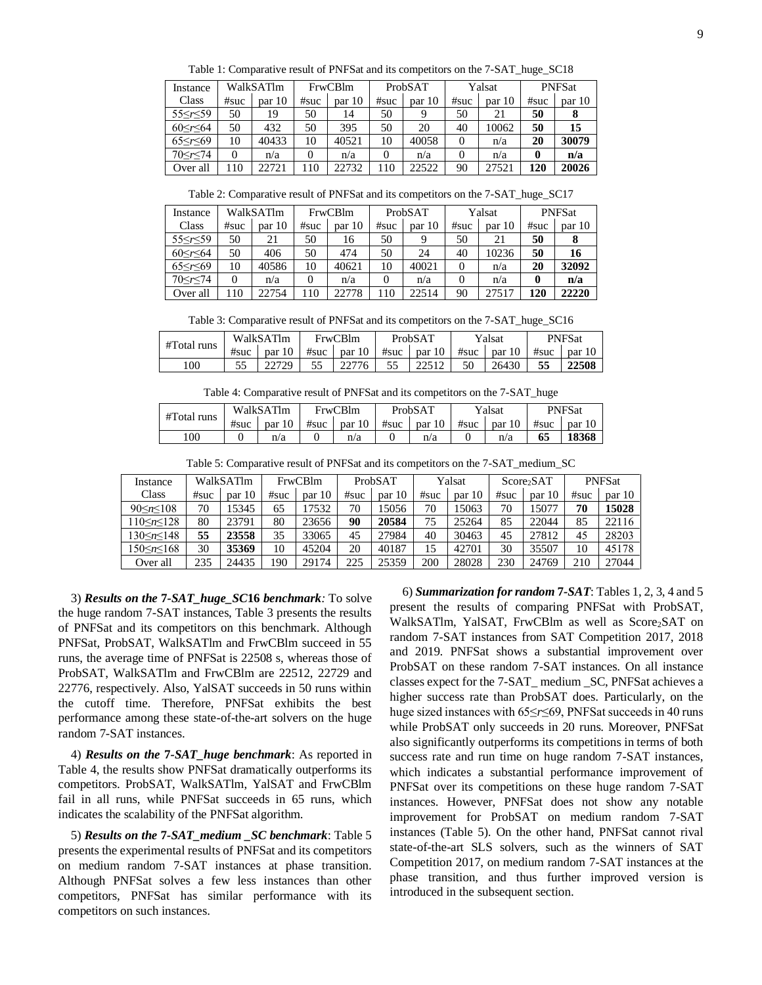Table 1: Comparative result of PNFSat and its competitors on the 7-SAT\_huge\_SC18

| Instance          |       | WalkSATlm | FrwCBlm |        | ProbSAT |        |         | Yalsat | PNFSat  |        |
|-------------------|-------|-----------|---------|--------|---------|--------|---------|--------|---------|--------|
| Class             | #succ | par 10    | #suc    | par 10 | $#$ suc | par 10 | $#$ suc | par 10 | $#$ suc | par 10 |
| 55 < r < 59       | 50    | 19        | 50      | 14     | 50      |        | 50      | 21     | 50      |        |
| $60 \le r \le 64$ | 50    | 432       | 50      | 395    | 50      | 20     | 40      | 10062  | 50      | 15     |
| 65 < r < 69       | 10    | 40433     | 10      | 40521  | 10      | 40058  |         | n/a    | 20      | 30079  |
| 70 < r < 74       |       | n/a       |         | n/a    | 0       | n/a    |         | n/a    | 0       | n/a    |
| Over all          | 110   | 22721     | 110     | 22732  | 110     | 22522  | 90      | 27521  | 120     | 20026  |

Table 2: Comparative result of PNFSat and its competitors on the 7-SAT\_huge\_SC17

| Instance          |         | WalkSATlm |         | FrwCBlm | ProbSAT |        |         | Yalsat |         | <b>PNFSat</b> |
|-------------------|---------|-----------|---------|---------|---------|--------|---------|--------|---------|---------------|
| Class             | $#$ suc | par 10    | $#$ suc | par 10  | $#$ suc | par 10 | $#$ suc | par 10 | $#$ suc | par 10        |
| 55 < r < 59       | 50      | 21        | 50      | 16      | 50      |        | 50      | 21     | 50      |               |
| $60 \le r \le 64$ | 50      | 406       | 50      | 474     | 50      | 24     | 40      | 10236  | 50      | 16            |
| $65 \le r \le 69$ | 10      | 40586     | 10      | 40621   | 10      | 40021  | 0       | n/a    | 20      | 32092         |
| 70≤r≤74           | 0       | n/a       |         | n/a     | 0       | n/a    | 0       | n/a    | 0       | n/a           |
| Over all          | 110     | 22754     | 110     | 22778   | 110     | 22514  | 90      | 27517  | 120     | 22220         |

Table 3: Comparative result of PNFSat and its competitors on the 7-SAT\_huge\_SC16

| #Total runs |      | WalkSATlm |                        | FrwCBlm |         | ProbSAT |       | Yalsat | PNFSat |        |  |
|-------------|------|-----------|------------------------|---------|---------|---------|-------|--------|--------|--------|--|
|             | #suc | par 10    | $#$ suc $\blacksquare$ | par 10  | $#$ suc | par 10  | #succ | par 10 | #succ  | par 10 |  |
| 100         |      | 2070.     |                        | 22776   |         |         | 50    | 26430  | 55     | 22508  |  |

Table 4: Comparative result of PNFSat and its competitors on the 7-SAT\_huge

| #Total runs | WalkSATlm |           | FrwCBlm |           |       | ProbSAT |       | Yalsat    | PNFSat |        |  |
|-------------|-----------|-----------|---------|-----------|-------|---------|-------|-----------|--------|--------|--|
|             | #suc      | 10<br>par | #succ   | 10<br>par | #succ | par 10  | #succ | par<br>10 | #suc   | par 10 |  |
| 100         |           | n/a       |         | n/a       |       | n/a     |       | n/a       | 65     | 18368  |  |

| Instance            |         | WalkSATlm |       | FrwCBlm |      | ProbSAT |       | Yalsat |         | Score <sub>2</sub> SAT |         | <b>PNFSat</b> |
|---------------------|---------|-----------|-------|---------|------|---------|-------|--------|---------|------------------------|---------|---------------|
| Class               | $#$ suc | par 10    | #succ | par 10  | #suc | par 10  | #succ | par 10 | $#$ suc | par 10                 | $#$ suc | par 10        |
| $90 \le n \le 108$  | 70      | 5345      | 65    | 7532    | 70   | 15056   | 70    | 5063   | 70      | 15077                  | 70      | 15028         |
| $110 \le n \le 128$ | 80      | 23791     | 80    | 23656   | 90   | 20584   | 75    | 25264  | 85      | 22044                  | 85      | 22116         |
| $130 \le n \le 148$ | 55      | 23558     | 35    | 33065   | 45   | 27984   | 40    | 30463  | 45      | 27812                  | 45      | 28203         |
| $150 \le n \le 168$ | 30      | 35369     | 10    | 45204   | 20   | 40187   | 15    | 42701  | 30      | 35507                  | 10      | 45178         |
| Over all            | 235     | 24435     | .90   | 29174   | 225  | 25359   | 200   | 28028  | 230     | 24769                  | 210     | 27044         |

Table 5: Comparative result of PNFSat and its competitors on the 7-SAT\_medium\_SC

3) *Results on the* **7***-SAT\_huge\_SC***16** *benchmark:* To solve the huge random 7-SAT instances, Table 3 presents the results of PNFSat and its competitors on this benchmark. Although PNFSat, ProbSAT, WalkSATlm and FrwCBlm succeed in 55 runs, the average time of PNFSat is 22508 s, whereas those of ProbSAT, WalkSATlm and FrwCBlm are 22512, 22729 and 22776, respectively. Also, YalSAT succeeds in 50 runs within the cutoff time. Therefore, PNFSat exhibits the best performance among these state-of-the-art solvers on the huge random 7-SAT instances.

4) *Results on the* **7***-SAT\_huge benchmark*: As reported in Table 4, the results show PNFSat dramatically outperforms its competitors. ProbSAT, WalkSATlm, YalSAT and FrwCBlm fail in all runs, while PNFSat succeeds in 65 runs, which indicates the scalability of the PNFSat algorithm.

5) *Results on the* **7***-SAT\_medium \_SC benchmark*: Table 5 presents the experimental results of PNFSat and its competitors on medium random 7-SAT instances at phase transition. Although PNFSat solves a few less instances than other competitors, PNFSat has similar performance with its competitors on such instances.

6) *Summarization for random* **7***-SAT*: Tables 1, 2, 3, 4 and 5 present the results of comparing PNFSat with ProbSAT, WalkSATlm, YalSAT, FrwCBlm as well as Score2SAT on random 7-SAT instances from SAT Competition 2017, 2018 and 2019. PNFSat shows a substantial improvement over ProbSAT on these random 7-SAT instances. On all instance classes expect for the 7-SAT\_ medium \_SC, PNFSat achieves a higher success rate than ProbSAT does. Particularly, on the huge sized instances with 65≤*r*≤69, PNFSat succeeds in 40 runs while ProbSAT only succeeds in 20 runs. Moreover, PNFSat also significantly outperforms its competitions in terms of both success rate and run time on huge random 7-SAT instances, which indicates a substantial performance improvement of PNFSat over its competitions on these huge random 7-SAT instances. However, PNFSat does not show any notable improvement for ProbSAT on medium random 7-SAT instances (Table 5). On the other hand, PNFSat cannot rival state-of-the-art SLS solvers, such as the winners of SAT Competition 2017, on medium random 7-SAT instances at the phase transition, and thus further improved version is introduced in the subsequent section.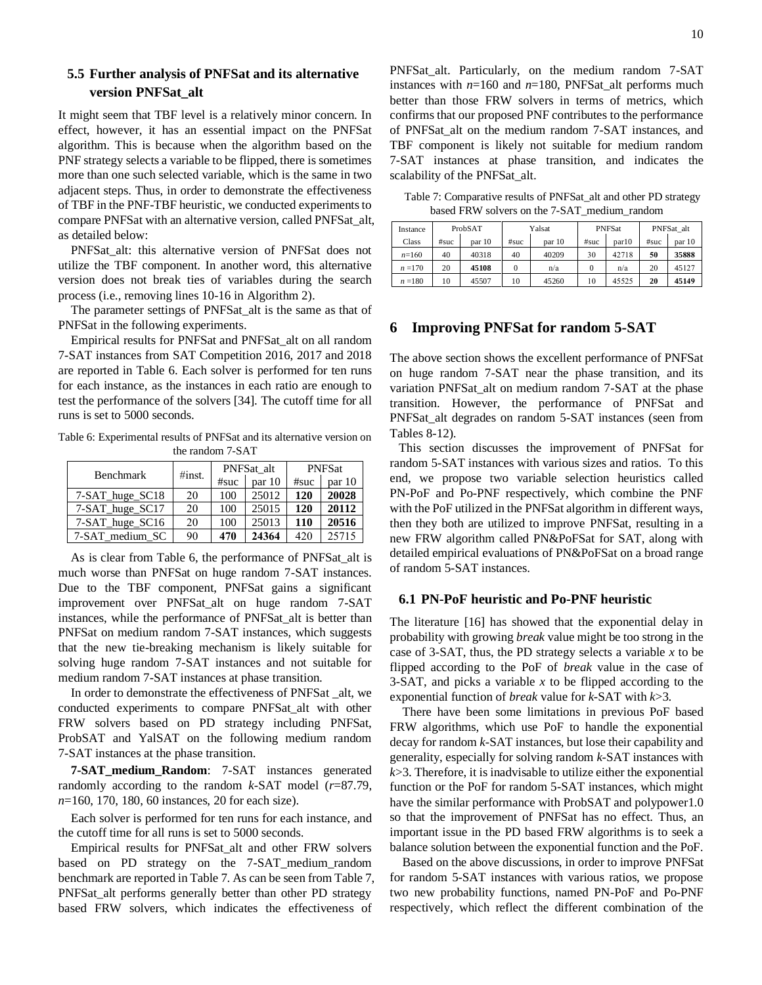# **5.5 Further analysis of PNFSat and its alternative version PNFSat\_alt**

It might seem that TBF level is a relatively minor concern. In effect, however, it has an essential impact on the PNFSat algorithm. This is because when the algorithm based on the PNF strategy selects a variable to be flipped, there is sometimes more than one such selected variable, which is the same in two adjacent steps. Thus, in order to demonstrate the effectiveness of TBF in the PNF-TBF heuristic, we conducted experiments to compare PNFSat with an alternative version, called PNFSat\_alt, as detailed below:

PNFSat\_alt: this alternative version of PNFSat does not utilize the TBF component. In another word, this alternative version does not break ties of variables during the search process (i.e., removing lines 10-16 in Algorithm 2).

The parameter settings of PNFSat\_alt is the same as that of PNFSat in the following experiments.

Empirical results for PNFSat and PNFSat\_alt on all random 7-SAT instances from SAT Competition 2016, 2017 and 2018 are reported in Table 6. Each solver is performed for ten runs for each instance, as the instances in each ratio are enough to test the performance of the solvers [34]. The cutoff time for all runs is set to 5000 seconds.

Table 6: Experimental results of PNFSat and its alternative version on the random 7-SAT

| <b>Benchmark</b> | $\#inst.$ |         | PNFSat_alt | <b>PNFSat</b> |        |  |
|------------------|-----------|---------|------------|---------------|--------|--|
|                  |           | $#$ suc | par 10     | #succ         | par 10 |  |
| 7-SAT_huge_SC18  | 20        | 100     | 25012      | 120           | 20028  |  |
| 7-SAT_huge_SC17  | 20        | 100     | 25015      | 120           | 20112  |  |
| 7-SAT_huge_SC16  | 20        | 100     | 25013      | 110           | 20516  |  |
| 7-SAT medium SC  | 90        | 470     | 24364      | 420           | 25715  |  |

As is clear from Table 6, the performance of PNFSat\_alt is much worse than PNFSat on huge random 7-SAT instances. Due to the TBF component, PNFSat gains a significant improvement over PNFSat\_alt on huge random 7-SAT instances, while the performance of PNFSat\_alt is better than PNFSat on medium random 7-SAT instances, which suggests that the new tie-breaking mechanism is likely suitable for solving huge random 7-SAT instances and not suitable for medium random 7-SAT instances at phase transition.

In order to demonstrate the effectiveness of PNFSat \_alt, we conducted experiments to compare PNFSat\_alt with other FRW solvers based on PD strategy including PNFSat, ProbSAT and YalSAT on the following medium random 7-SAT instances at the phase transition.

**7-SAT\_medium\_Random**: 7-SAT instances generated randomly according to the random *k*-SAT model (*r*=87.79, *n*=160, 170, 180, 60 instances, 20 for each size).

Each solver is performed for ten runs for each instance, and the cutoff time for all runs is set to 5000 seconds.

Empirical results for PNFSat\_alt and other FRW solvers based on PD strategy on the 7-SAT medium random benchmark are reported in Table 7. As can be seen from Table 7, PNFSat\_alt performs generally better than other PD strategy based FRW solvers, which indicates the effectiveness of

PNFSat\_alt. Particularly, on the medium random 7-SAT instances with *n*=160 and *n*=180, PNFSat\_alt performs much better than those FRW solvers in terms of metrics, which confirms that our proposed PNF contributes to the performance of PNFSat\_alt on the medium random 7-SAT instances, and TBF component is likely not suitable for medium random 7-SAT instances at phase transition, and indicates the scalability of the PNFSat\_alt.

Table 7: Comparative results of PNFSat\_alt and other PD strategy based FRW solvers on the 7-SAT\_medium\_random

| Instance  |       | ProbSAT |         | Yalsat |         | PNFSat | PNFSat alt |        |  |
|-----------|-------|---------|---------|--------|---------|--------|------------|--------|--|
| Class     | #succ | par 10  | $#$ suc | par 10 | $#$ suc | par10  | $#$ suc    | par 10 |  |
| $n=160$   | 40    | 40318   | 40      | 40209  | 30      | 42718  | 50         | 35888  |  |
| $n = 170$ | 20    | 45108   |         | n/a    | 0       | n/a    | 20         | 45127  |  |
| $n = 180$ | 10    | 45507   | 10      | 45260  | 10      | 45525  | 20         | 45149  |  |

## **6 Improving PNFSat for random 5-SAT**

The above section shows the excellent performance of PNFSat on huge random 7-SAT near the phase transition, and its variation PNFSat\_alt on medium random 7-SAT at the phase transition. However, the performance of PNFSat and PNFSat\_alt degrades on random 5-SAT instances (seen from Tables 8-12).

This section discusses the improvement of PNFSat for random 5-SAT instances with various sizes and ratios. To this end, we propose two variable selection heuristics called PN-PoF and Po-PNF respectively, which combine the PNF with the PoF utilized in the PNFSat algorithm in different ways, then they both are utilized to improve PNFSat, resulting in a new FRW algorithm called PN&PoFSat for SAT, along with detailed empirical evaluations of PN&PoFSat on a broad range of random 5-SAT instances.

#### **6.1 PN-PoF heuristic and Po-PNF heuristic**

The literature [16] has showed that the exponential delay in probability with growing *break* value might be too strong in the case of 3-SAT, thus, the PD strategy selects a variable *x* to be flipped according to the PoF of *break* value in the case of 3-SAT, and picks a variable *x* to be flipped according to the exponential function of *break* value for *k*-SAT with *k*>3.

There have been some limitations in previous PoF based FRW algorithms, which use PoF to handle the exponential decay for random *k*-SAT instances, but lose their capability and generality, especially for solving random *k*-SAT instances with *k*>3. Therefore, it is inadvisable to utilize either the exponential function or the PoF for random 5-SAT instances, which might have the similar performance with ProbSAT and polypower1.0 so that the improvement of PNFSat has no effect. Thus, an important issue in the PD based FRW algorithms is to seek a balance solution between the exponential function and the PoF.

Based on the above discussions, in order to improve PNFSat for random 5-SAT instances with various ratios, we propose two new probability functions, named PN-PoF and Po-PNF respectively, which reflect the different combination of the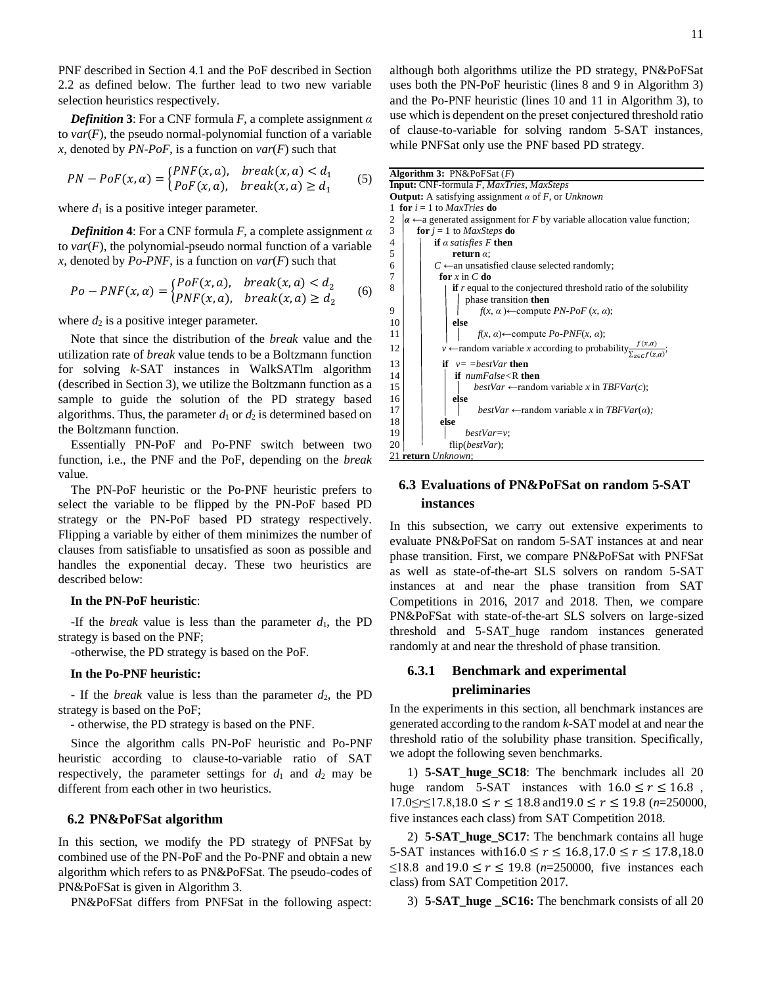PNF described in Section 4.1 and the PoF described in Section 2.2 as defined below. The further lead to two new variable selection heuristics respectively.

*Definition* **3**: For a CNF formula *F*, a complete assignment *α* to *var*(*F*), the pseudo normal-polynomial function of a variable  $x$ , denoted by *PN-PoF*, is a function on  $var(F)$  such that

$$
PN - PoF(x, \alpha) = \begin{cases} PNF(x, a), & break(x, a) < d_1 \\ PoF(x, a), & break(x, a) \ge d_1 \end{cases} \tag{5}
$$

where  $d_1$  is a positive integer parameter.

*Definition* **4**: For a CNF formula *F*, a complete assignment *α* to *var*(*F*), the polynomial-pseudo normal function of a variable *x*, denoted by  $Po-PNF$ , is a function on  $var(F)$  such that

$$
Po-PNF(x, \alpha) = \begin{cases} PoF(x, a), & break(x, a) < d_2 \\ PNF(x, a), & break(x, a) \ge d_2 \end{cases} \tag{6}
$$

where  $d_2$  is a positive integer parameter.

Note that since the distribution of the *break* value and the utilization rate of *break* value tends to be a Boltzmann function for solving *k*-SAT instances in WalkSATlm algorithm (described in Section 3), we utilize the Boltzmann function as a sample to guide the solution of the PD strategy based algorithms. Thus, the parameter  $d_1$  or  $d_2$  is determined based on the Boltzmann function.

Essentially PN-PoF and Po-PNF switch between two function, i.e., the PNF and the PoF, depending on the *break* value.

The PN-PoF heuristic or the Po-PNF heuristic prefers to select the variable to be flipped by the PN-PoF based PD strategy or the PN-PoF based PD strategy respectively. Flipping a variable by either of them minimizes the number of clauses from satisfiable to unsatisfied as soon as possible and handles the exponential decay. These two heuristics are described below:

#### **In the PN-PoF heuristic**:

-If the *break* value is less than the parameter  $d_1$ , the PD strategy is based on the PNF;

-otherwise, the PD strategy is based on the PoF.

## **In the Po-PNF heuristic:**

- If the *break* value is less than the parameter  $d_2$ , the PD strategy is based on the PoF;

- otherwise, the PD strategy is based on the PNF.

Since the algorithm calls PN-PoF heuristic and Po-PNF heuristic according to clause-to-variable ratio of SAT respectively, the parameter settings for  $d_1$  and  $d_2$  may be different from each other in two heuristics.

#### **6.2 PN&PoFSat algorithm**

In this section, we modify the PD strategy of PNFSat by combined use of the PN-PoF and the Po-PNF and obtain a new algorithm which refers to as PN&PoFSat. The pseudo-codes of PN&PoFSat is given in Algorithm 3.

PN&PoFSat differs from PNFSat in the following aspect:

although both algorithms utilize the PD strategy, PN&PoFSat uses both the PN-PoF heuristic (lines 8 and 9 in Algorithm 3) and the Po-PNF heuristic (lines 10 and 11 in Algorithm 3), to use which is dependent on the preset conjectured threshold ratio of clause-to-variable for solving random 5-SAT instances, while PNFSat only use the PNF based PD strategy.

| <b>Algorithm 3:</b> PN&PoFSat $(F)$                                                                                  |
|----------------------------------------------------------------------------------------------------------------------|
| <b>Input:</b> CNF-formula F, MaxTries, MaxSteps                                                                      |
| <b>Output:</b> A satisfying assignment $\alpha$ of F, or Unknown                                                     |
| for $i = 1$ to <i>MaxTries</i> do                                                                                    |
| 2<br>$\alpha \leftarrow$ a generated assignment for F by variable allocation value function;                         |
| 3<br>for $j = 1$ to <i>MaxSteps</i> do                                                                               |
| 4<br>if $\alpha$ satisfies F then                                                                                    |
| 5<br>return $\alpha$ ;                                                                                               |
| 6<br>$C \leftarrow$ an unsatisfied clause selected randomly;                                                         |
| for $x$ in $C$ do<br>7                                                                                               |
| 8<br><b>if</b> $r$ equal to the conjectured threshold ratio of the solubility                                        |
| phase transition then                                                                                                |
| 9<br>$f(x, \alpha) \leftarrow$ compute PN-PoF $(x, \alpha)$ ;                                                        |
| 10<br>else                                                                                                           |
| $f(x, \alpha)$ compute Po-PNF(x, $\alpha$ );<br>11                                                                   |
| $v \leftarrow$ random variable x according to probability $\frac{f(x, \alpha)}{\sum_{x \in c} f(z, \alpha)}$ ;<br>12 |
| 13<br><b>if</b> $v = = bestVar$ then                                                                                 |
| if $numFalse < R$ then<br>14                                                                                         |
| 15<br><i>bestVar</i> $\leftarrow$ random variable x in <i>TBFVar(c)</i> ;                                            |
| 16<br>else                                                                                                           |
| 17<br><i>bestVar</i> $\leftarrow$ random variable x in <i>TBFVar(a)</i> ;                                            |
| 18<br>else                                                                                                           |
| 19<br>$bestVar=v$ :                                                                                                  |
| 20<br>flip( <i>bestVar</i> );                                                                                        |
| 21 <b>return</b> Unknown;                                                                                            |

# **6.3 Evaluations of PN&PoFSat on random 5-SAT instances**

In this subsection, we carry out extensive experiments to evaluate PN&PoFSat on random 5-SAT instances at and near phase transition. First, we compare PN&PoFSat with PNFSat as well as state-of-the-art SLS solvers on random 5-SAT instances at and near the phase transition from SAT Competitions in 2016, 2017 and 2018. Then, we compare PN&PoFSat with state-of-the-art SLS solvers on large-sized threshold and 5-SAT\_huge random instances generated randomly at and near the threshold of phase transition.

# **6.3.1 Benchmark and experimental preliminaries**

In the experiments in this section, all benchmark instances are generated according to the random *k*-SAT model at and near the threshold ratio of the solubility phase transition. Specifically, we adopt the following seven benchmarks.

1) **5-SAT\_huge\_SC18**: The benchmark includes all 20 huge random 5-SAT instances with  $16.0 \le r \le 16.8$ ,  $17.0 \le r \le 17.8$ ,18.0  $\le r \le 18.8$  and  $19.0 \le r \le 19.8$  (*n*=250000, five instances each class) from SAT Competition 2018.

2) **5-SAT\_huge\_SC17**: The benchmark contains all huge 5-SAT instances with  $16.0 \le r \le 16.8$ ,  $17.0 \le r \le 17.8$ , 18.0 ≤18.8 and 19.0 ≤  $r$  ≤ 19.8 ( $n=250000$ , five instances each class) from SAT Competition 2017.

3) **5-SAT\_huge \_SC16:** The benchmark consists of all 20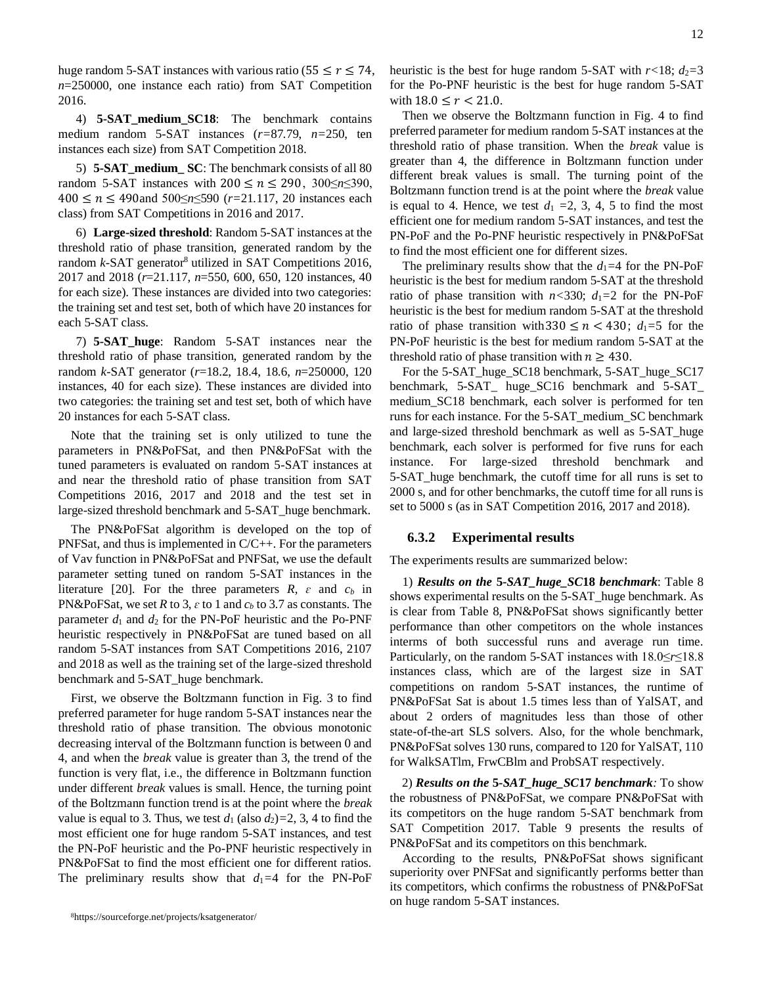huge random 5-SAT instances with various ratio (55  $\leq r \leq 74$ , *n*=250000, one instance each ratio) from SAT Competition 2016.

4) **5-SAT\_medium\_SC18**: The benchmark contains medium random 5-SAT instances (*r=*87*.*79, *n=*250, ten instances each size) from SAT Competition 2018.

5) **5-SAT\_medium\_ SC**: The benchmark consists of all 80 random 5-SAT instances with  $200 \le n \le 290$ ,  $300 \le n \le 390$ , 400 ≤ ≤ 490and 500≤*n*≤590 (*r=*21*.*117, 20 instances each class) from SAT Competitions in 2016 and 2017.

6) **Large-sized threshold**: Random 5-SAT instances at the threshold ratio of phase transition, generated random by the random *k*-SAT generator<sup>8</sup> utilized in SAT Competitions 2016, 2017 and 2018 (*r*=21.117, *n*=550, 600, 650, 120 instances, 40 for each size). These instances are divided into two categories: the training set and test set, both of which have 20 instances for each 5-SAT class.

7) **5-SAT\_huge**: Random 5-SAT instances near the threshold ratio of phase transition, generated random by the random *k*-SAT generator (*r*=18.2, 18.4, 18.6, *n*=250000, 120 instances, 40 for each size). These instances are divided into two categories: the training set and test set, both of which have 20 instances for each 5-SAT class.

Note that the training set is only utilized to tune the parameters in PN&PoFSat, and then PN&PoFSat with the tuned parameters is evaluated on random 5-SAT instances at and near the threshold ratio of phase transition from SAT Competitions 2016, 2017 and 2018 and the test set in large-sized threshold benchmark and 5-SAT\_huge benchmark.

The PN&PoFSat algorithm is developed on the top of PNFSat, and thus is implemented in C/C++. For the parameters of Vav function in PN&PoFSat and PNFSat, we use the default parameter setting tuned on random 5-SAT instances in the literature [20]. For the three parameters  $R$ ,  $\varepsilon$  and  $c_b$  in PN&PoFSat, we set *R* to 3,  $\varepsilon$  to 1 and  $c_b$  to 3.7 as constants. The parameter  $d_1$  and  $d_2$  for the PN-PoF heuristic and the Po-PNF heuristic respectively in PN&PoFSat are tuned based on all random 5-SAT instances from SAT Competitions 2016, 2107 and 2018 as well as the training set of the large-sized threshold benchmark and 5-SAT\_huge benchmark.

First, we observe the Boltzmann function in Fig. 3 to find preferred parameter for huge random 5-SAT instances near the threshold ratio of phase transition. The obvious monotonic decreasing interval of the Boltzmann function is between 0 and 4, and when the *break* value is greater than 3, the trend of the function is very flat, i.e., the difference in Boltzmann function under different *break* values is small. Hence, the turning point of the Boltzmann function trend is at the point where the *break* value is equal to 3. Thus, we test  $d_1$  (also  $d_2$ )=2, 3, 4 to find the most efficient one for huge random 5-SAT instances, and test the PN-PoF heuristic and the Po-PNF heuristic respectively in PN&PoFSat to find the most efficient one for different ratios. The preliminary results show that  $d_1 = 4$  for the PN-PoF

heuristic is the best for huge random 5-SAT with  $r<18$ ;  $d_2=3$ for the Po-PNF heuristic is the best for huge random 5-SAT with  $18.0 \le r < 21.0$ .

Then we observe the Boltzmann function in Fig. 4 to find preferred parameter for medium random 5-SAT instances at the threshold ratio of phase transition. When the *break* value is greater than 4, the difference in Boltzmann function under different break values is small. The turning point of the Boltzmann function trend is at the point where the *break* value is equal to 4. Hence, we test  $d_1 = 2$ , 3, 4, 5 to find the most efficient one for medium random 5-SAT instances, and test the PN-PoF and the Po-PNF heuristic respectively in PN&PoFSat to find the most efficient one for different sizes.

The preliminary results show that the  $d_1 = 4$  for the PN-PoF heuristic is the best for medium random 5-SAT at the threshold ratio of phase transition with  $n < 330$ ;  $d_1 = 2$  for the PN-PoF heuristic is the best for medium random 5-SAT at the threshold ratio of phase transition with  $330 \le n \le 430$ ;  $d_1 = 5$  for the PN-PoF heuristic is the best for medium random 5-SAT at the threshold ratio of phase transition with  $n \geq 430$ .

For the 5-SAT\_huge\_SC18 benchmark, 5-SAT\_huge\_SC17 benchmark, 5-SAT\_ huge\_SC16 benchmark and 5-SAT\_ medium\_SC18 benchmark, each solver is performed for ten runs for each instance. For the 5-SAT\_medium\_SC benchmark and large-sized threshold benchmark as well as 5-SAT\_huge benchmark, each solver is performed for five runs for each instance. For large-sized threshold benchmark and 5-SAT\_huge benchmark, the cutoff time for all runs is set to 2000 s, and for other benchmarks, the cutoff time for all runs is set to 5000 s (as in SAT Competition 2016, 2017 and 2018).

#### **6.3.2 Experimental results**

The experiments results are summarized below:

1) *Results on the* **5***-SAT\_huge\_SC***18** *benchmark*: Table 8 shows experimental results on the 5-SAT huge benchmark. As is clear from Table 8, PN&PoFSat shows significantly better performance than other competitors on the whole instances interms of both successful runs and average run time. Particularly, on the random 5-SAT instances with 18.0≤*r*≤18.8 instances class, which are of the largest size in SAT competitions on random 5-SAT instances, the runtime of PN&PoFSat Sat is about 1.5 times less than of YalSAT, and about 2 orders of magnitudes less than those of other state-of-the-art SLS solvers. Also, for the whole benchmark, PN&PoFSat solves 130 runs, compared to 120 for YalSAT, 110 for WalkSATlm, FrwCBlm and ProbSAT respectively.

2) *Results on the* **5***-SAT\_huge\_SC***17** *benchmark:* To show the robustness of PN&PoFSat, we compare PN&PoFSat with its competitors on the huge random 5-SAT benchmark from SAT Competition 2017. Table 9 presents the results of PN&PoFSat and its competitors on this benchmark.

According to the results, PN&PoFSat shows significant superiority over PNFSat and significantly performs better than its competitors, which confirms the robustness of PN&PoFSat on huge random 5-SAT instances.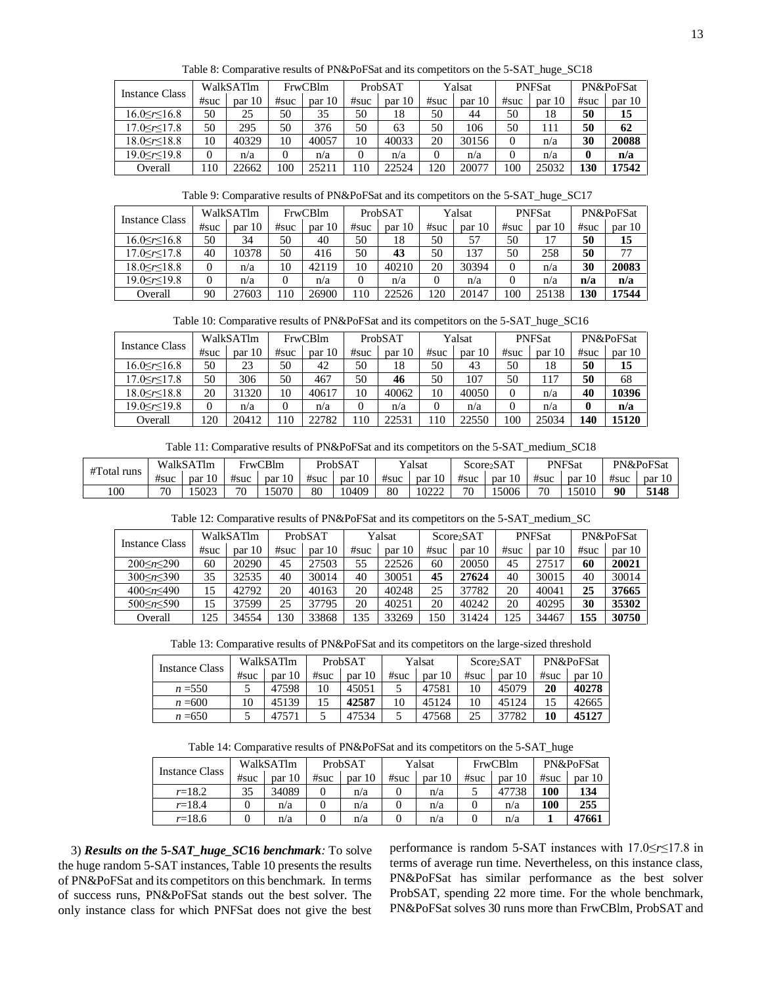|                         | - -------- - <del>-</del> - - |        |         |        |          |         |         |        |       |               |           |        |  |  |
|-------------------------|-------------------------------|--------|---------|--------|----------|---------|---------|--------|-------|---------------|-----------|--------|--|--|
| <b>Instance Class</b>   | WalkSATlm                     |        | FrwCBlm |        |          | ProbSAT |         | Yalsat |       | <b>PNFSat</b> | PN&PoFSat |        |  |  |
|                         | $#$ suc                       | par 10 | #succ   | par 10 | $#$ suc  | par 10  | $#$ suc | par 10 | #succ | par 10        | $#$ suc   | par 10 |  |  |
| $16.0 \le r \le 16.8$   | 50                            | 25     | 50      | 35     | 50       | 18      | 50      | 44     | 50    | 18            | 50        | 15     |  |  |
| $17.0 \le r \le 17.8$   | 50                            | 295    | 50      | 376    | 50       | 63      | 50      | 106    | 50    | 111           | 50        | 62     |  |  |
| $18.0 \le r \le 18.8$   | 10                            | 40329  | 10      | 40057  | 10       | 40033   | 20      | 30156  |       | n/a           | 30        | 20088  |  |  |
| 19.0 $\leq r \leq 19.8$ | 0                             | n/a    | 0       | n/a    | $\Omega$ | n/a     | 0       | n/a    |       | n/a           | 0         | n/a    |  |  |
| Overall                 | l 10                          | 22662  | 00      | 25211  | 110      | 22524   | 120     | 20077  | 100   | 25032         | 130       | 17542  |  |  |

Table 8: Comparative results of PN&PoFSat and its competitors on the 5-SAT\_huge\_SC18

Table 9: Comparative results of PN&PoFSat and its competitors on the 5-SAT\_huge\_SC17

| <b>Instance Class</b> | WalkSATlm |        | <b>FrwCBlm</b> |        | ProbSAT |        | Yalsat  |        | <b>PNFSat</b> |        | PN&PoFSat |        |
|-----------------------|-----------|--------|----------------|--------|---------|--------|---------|--------|---------------|--------|-----------|--------|
|                       | $#$ suc   | par 10 | #succ          | par 10 | $#$ suc | par 10 | $#$ suc | par 10 | #succ         | par 10 | $#$ suc   | par 10 |
| 16.0 < r < 16.8       | 50        | 34     | 50             | 40     | 50      | 18     | 50      | 57     | 50            | 17     | 50        | 15     |
| $17.0 \le r \le 17.8$ | 40        | 10378  | 50             | 416    | 50      | 43     | 50      | 137    | 50            | 258    | 50        | 77     |
| 18.0 < r < 18.8       | 0         | n/a    | 10             | 42119  | 10      | 40210  | 20      | 30394  | $\Omega$      | n/a    | 30        | 20083  |
| 19.0 < r < 19.8       |           | n/a    |                | n/a    |         | n/a    |         | n/a    |               | n/a    | n/a       | n/a    |
| Overall               | 90        | 27603  | .10            | 26900  | 110     | 22526  | 120     | 20147  | 100           | 25138  | 130       | 17544  |

Table 10: Comparative results of PN&PoFSat and its competitors on the 5-SAT\_huge\_SC16

| <b>Instance Class</b> | WalkSATlm |        | <b>FrwCBlm</b> |        | ProbSAT  |        | Yalsat  |        | <b>PNFSat</b> |        |         | PN&PoFSat |
|-----------------------|-----------|--------|----------------|--------|----------|--------|---------|--------|---------------|--------|---------|-----------|
|                       | $#$ suc   | par 10 | #succ          | par 10 | #succ    | par 10 | $#$ suc | par 10 | #succ         | par 10 | $#$ suc | par 10    |
| $16.0 \le r \le 16.8$ | 50        | 23     | 50             | 42     | 50       | 18     | 50      | 43     | 50            | 18     | 50      | 15        |
| 17.0 < r < 17.8       | 50        | 306    | 50             | 467    | 50       | 46     | 50      | 107    | 50            | 117    | 50      | 68        |
| 18.0 < r < 18.8       | 20        | 31320  | 10             | 40617  | 10       | 40062  | 10      | 40050  | $\Omega$      | n/a    | 40      | 10396     |
| 19.0 < r < 19.8       |           | n/a    |                | n/a    | $\Omega$ | n/a    |         | n/a    |               | n/a    | 0       | n/a       |
| Overall               | 120       | 20412  | 10             | 22782  | 110      | 22531  | 110     | 22550  | 100           | 25034  | 140     | 15120     |

Table 11: Comparative results of PN&PoFSat and its competitors on the 5-SAT\_medium\_SC18

| #Total runs | WalkSATlm |           | CBlm<br>$F_{\text{TW}}$ |           |         | ProbSAT   |         | Valsat    |      | Score <sub>2</sub> SAT |      | <b>PNFSat</b> |      | PN&PoFSat |  |
|-------------|-----------|-----------|-------------------------|-----------|---------|-----------|---------|-----------|------|------------------------|------|---------------|------|-----------|--|
|             | #suc      | 10<br>par | #suc                    | par<br>10 | $#$ suc | 10<br>par | $#$ suc | 10<br>par | #suc | 10<br>par              | #suc | 10<br>par     | #suc | 10<br>par |  |
| 100         | 70        | 5023      | 70                      | 5070      | 80      | 10409     | 80      | 10222     | 70   | 5006                   | 70   | 5010          | 90   | 5148      |  |

| <b>Instance Class</b> | WalkSATlm |        | ProbSAT |        | Yalsat  |        | Score <sub>2</sub> SAT |        | <b>PNFSat</b> |        | PN&PoFSat |        |
|-----------------------|-----------|--------|---------|--------|---------|--------|------------------------|--------|---------------|--------|-----------|--------|
|                       | $#$ suc   | par 10 | #succ   | par 10 | $#$ suc | par 10 | $#$ suc                | par 10 | #succ         | par 10 | $#$ suc   | par 10 |
| $200 \le n \le 290$   | 60        | 20290  | 45      | 27503  | 55      | 22526  | 60                     | 20050  | 45            | 27517  | 60        | 20021  |
| $300 \le n \le 390$   | 35        | 32535  | 40      | 30014  | 40      | 30051  | 45                     | 27624  | 40            | 30015  | 40        | 30014  |
| 400≤ <i>n</i> ≤490    | 15        | 42792  | 20      | 40163  | 20      | 40248  | 25                     | 37782  | 20            | 40041  | 25        | 37665  |
| 500 $\leq n \leq 590$ | 15        | 37599  | 25      | 37795  | 20      | 40251  | 20                     | 40242  | 20            | 40295  | 30        | 35302  |
| Overall               | 25        | 34554  | 30      | 33868  | 135     | 33269  | 150                    | 31424  | 125           | 34467  | 155       | 30750  |

Table 12: Comparative results of PN&PoFSat and its competitors on the 5-SAT\_medium\_SC

Table 13: Comparative results of PN&PoFSat and its competitors on the large-sized threshold

| <b>Instance Class</b> | WalkSATlm |        | ProbSAT |        | Yalsat  |        | Score <sub>2</sub> SAT |        | PN&PoFSat |        |
|-----------------------|-----------|--------|---------|--------|---------|--------|------------------------|--------|-----------|--------|
|                       | #succ     | par 10 | #suc    | par 10 | $#$ suc | par 10 | #succ                  | par 10 | $#$ suc   | par 10 |
| $n = 550$             |           | 47598  | 10      | 45051  |         | 47581  | 10                     | 45079  | 20        | 40278  |
| $n = 600$             | 10        | 45139  | 15      | 42587  | 10      | 45124  | 10                     | 45124  |           | 42665  |
| $n = 650$             |           | 47571  |         | 47534  |         | 47568  | 25                     | 37782  | 10        | 45127  |

| <b>Instance Class</b> | WalkSATlm |        | ProbSAT |        | Yalsat  |        | <b>FrwCBlm</b> |        | PN&PoFSat |        |
|-----------------------|-----------|--------|---------|--------|---------|--------|----------------|--------|-----------|--------|
|                       | #succ     | par 10 | $#$ suc | par 10 | $#$ suc | par 10 | #succ          | par 10 | #suc      | par 10 |
| $r = 18.2$            | 35        | 34089  | 0       | n/a    |         | n/a    |                | 47738  | 100       | 134    |
| $r = 18.4$            |           | n/a    |         | n/a    |         | n/a    |                | n/a    | 100       | 255    |
| $r=18.6$              |           | n/a    |         | n/a    |         | n/a    |                | n/a    |           | 47661  |

3) *Results on the* **5***-SAT\_huge\_SC***16** *benchmark:* To solve the huge random 5-SAT instances, Table 10 presents the results of PN&PoFSat and its competitors on this benchmark. In terms of success runs, PN&PoFSat stands out the best solver. The only instance class for which PNFSat does not give the best

performance is random 5-SAT instances with 17.0≤*r*≤17.8 in terms of average run time. Nevertheless, on this instance class, PN&PoFSat has similar performance as the best solver ProbSAT, spending 22 more time. For the whole benchmark, PN&PoFSat solves 30 runs more than FrwCBlm, ProbSAT and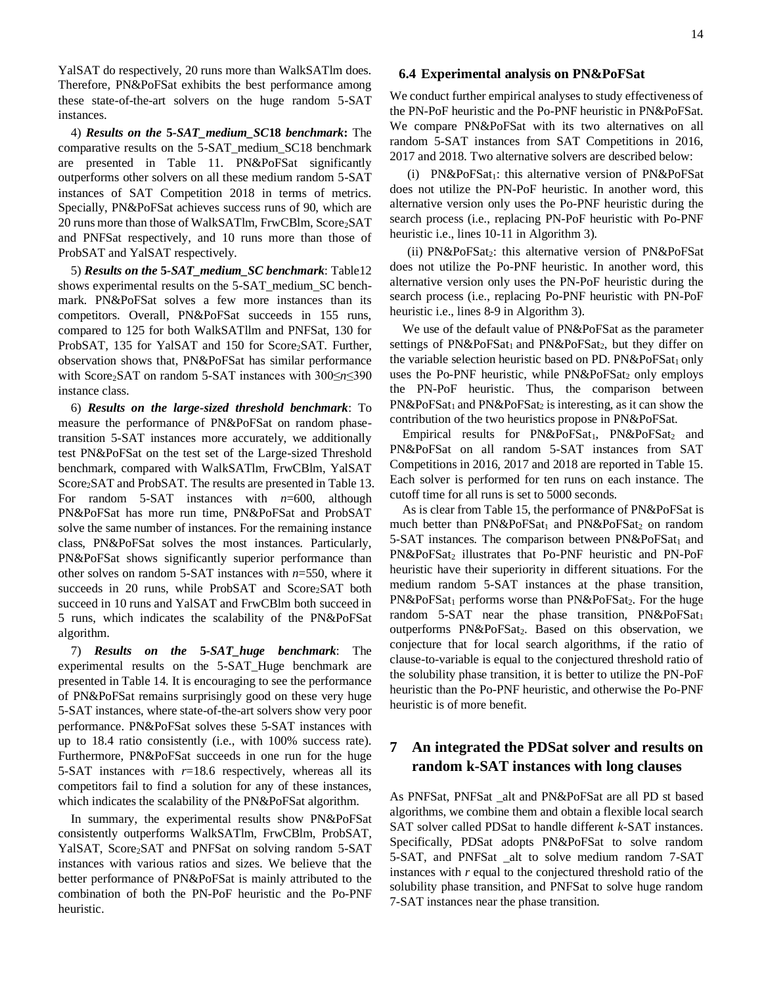4) *Results on the* **5***-SAT\_medium\_SC***18** *benchmark***:** The comparative results on the 5-SAT\_medium\_SC18 benchmark are presented in Table 11. PN&PoFSat significantly outperforms other solvers on all these medium random 5-SAT instances of SAT Competition 2018 in terms of metrics. Specially, PN&PoFSat achieves success runs of 90, which are 20 runs more than those of WalkSATlm, FrwCBlm, Score<sub>2</sub>SAT and PNFSat respectively, and 10 runs more than those of ProbSAT and YalSAT respectively.

5) *Results on the* **5***-SAT\_medium\_SC benchmark*: Table12 shows experimental results on the 5-SAT\_medium\_SC benchmark. PN&PoFSat solves a few more instances than its competitors. Overall, PN&PoFSat succeeds in 155 runs, compared to 125 for both WalkSATllm and PNFSat, 130 for ProbSAT, 135 for YalSAT and 150 for Score<sub>2</sub>SAT. Further, observation shows that, PN&PoFSat has similar performance with Score<sub>2</sub>SAT on random 5-SAT instances with 300≤*n*≤390 instance class.

6) *Results on the large-sized threshold benchmark*: To measure the performance of PN&PoFSat on random phasetransition 5-SAT instances more accurately, we additionally test PN&PoFSat on the test set of the Large-sized Threshold benchmark, compared with WalkSATlm, FrwCBlm, YalSAT Score<sub>2</sub>SAT and ProbSAT. The results are presented in Table 13. For random 5-SAT instances with *n*=600, although PN&PoFSat has more run time, PN&PoFSat and ProbSAT solve the same number of instances. For the remaining instance class, PN&PoFSat solves the most instances. Particularly, PN&PoFSat shows significantly superior performance than other solves on random 5-SAT instances with *n*=550, where it succeeds in 20 runs, while ProbSAT and Score<sub>2</sub>SAT both succeed in 10 runs and YalSAT and FrwCBlm both succeed in 5 runs, which indicates the scalability of the PN&PoFSat algorithm.

7) *Results on the* **5***-SAT\_huge benchmark*: The experimental results on the 5-SAT\_Huge benchmark are presented in Table 14. It is encouraging to see the performance of PN&PoFSat remains surprisingly good on these very huge 5-SAT instances, where state-of-the-art solvers show very poor performance. PN&PoFSat solves these 5-SAT instances with up to 18.4 ratio consistently (i.e., with 100% success rate). Furthermore, PN&PoFSat succeeds in one run for the huge 5-SAT instances with  $r=18.6$  respectively, whereas all its competitors fail to find a solution for any of these instances, which indicates the scalability of the PN&PoFSat algorithm.

In summary, the experimental results show PN&PoFSat consistently outperforms WalkSATlm, FrwCBlm, ProbSAT, YalSAT, Score<sub>2</sub>SAT and PNFSat on solving random 5-SAT instances with various ratios and sizes. We believe that the better performance of PN&PoFSat is mainly attributed to the combination of both the PN-PoF heuristic and the Po-PNF heuristic.

## **6.4 Experimental analysis on PN&PoFSat**

We conduct further empirical analyses to study effectiveness of the PN-PoF heuristic and the Po-PNF heuristic in PN&PoFSat. We compare PN&PoFSat with its two alternatives on all random 5-SAT instances from SAT Competitions in 2016, 2017 and 2018. Two alternative solvers are described below:

(i) PN&PoFSat<sub>1</sub>: this alternative version of PN&PoFSat does not utilize the PN-PoF heuristic. In another word, this alternative version only uses the Po-PNF heuristic during the search process (i.e., replacing PN-PoF heuristic with Po-PNF heuristic i.e., lines 10-11 in Algorithm 3).

(ii) PN&PoFSat<sub>2</sub>: this alternative version of PN&PoFSat does not utilize the Po-PNF heuristic. In another word, this alternative version only uses the PN-PoF heuristic during the search process (i.e., replacing Po-PNF heuristic with PN-PoF heuristic i.e., lines 8-9 in Algorithm 3).

We use of the default value of PN&PoFSat as the parameter settings of  $PN\&POFSat_1$  and  $PN\&POFSat_2$ , but they differ on the variable selection heuristic based on PD.  $PN\&PoFSat_1$  only uses the Po-PNF heuristic, while PN&PoFSat<sub>2</sub> only employs the PN-PoF heuristic. Thus, the comparison between  $PN&PoFSat<sub>1</sub>$  and  $PN&PoFSat<sub>2</sub>$  is interesting, as it can show the contribution of the two heuristics propose in PN&PoFSat.

Empirical results for PN&PoFSat<sub>1</sub>, PN&PoFSat<sub>2</sub> and PN&PoFSat on all random 5-SAT instances from SAT Competitions in 2016, 2017 and 2018 are reported in Table 15. Each solver is performed for ten runs on each instance. The cutoff time for all runs is set to 5000 seconds.

As is clear from Table 15, the performance of PN&PoFSat is much better than  $PN\&POFSat_1$  and  $PN\&POFSat_2$  on random 5-SAT instances. The comparison between  $PN\&POFSat<sub>1</sub>$  and PN&PoFSat<sup>2</sup> illustrates that Po-PNF heuristic and PN-PoF heuristic have their superiority in different situations. For the medium random 5-SAT instances at the phase transition,  $PN&PoFSat<sub>1</sub>$  performs worse than  $PN&PoFSat<sub>2</sub>$ . For the huge random 5-SAT near the phase transition,  $PN\&POFSat_1$ outperforms PN&PoFSat2. Based on this observation, we conjecture that for local search algorithms, if the ratio of clause-to-variable is equal to the conjectured threshold ratio of the solubility phase transition, it is better to utilize the PN-PoF heuristic than the Po-PNF heuristic, and otherwise the Po-PNF heuristic is of more benefit.

# **7 An integrated the PDSat solver and results on random k-SAT instances with long clauses**

As PNFSat, PNFSat \_alt and PN&PoFSat are all PD st based algorithms, we combine them and obtain a flexible local search SAT solver called PDSat to handle different *k*-SAT instances. Specifically, PDSat adopts PN&PoFSat to solve random 5-SAT, and PNFSat \_alt to solve medium random 7-SAT instances with *r* equal to the conjectured threshold ratio of the solubility phase transition, and PNFSat to solve huge random 7-SAT instances near the phase transition.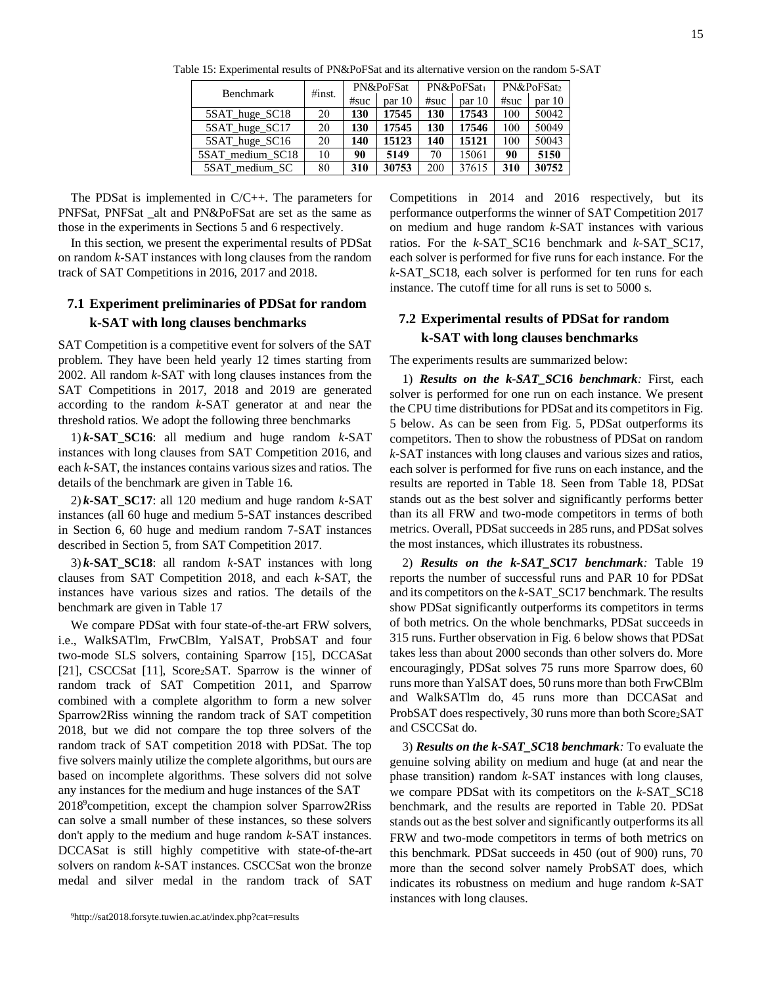| <b>Benchmark</b> | $\#inst.$ |       | PN&PoFSat |       | PN&PoFSat <sub>1</sub> | PN&PoFSat |        |
|------------------|-----------|-------|-----------|-------|------------------------|-----------|--------|
|                  |           | #succ | par 10    | #succ | par 10                 | #succ     | par 10 |
| 5SAT huge SC18   | 20        | 130   | 17545     | 130   | 17543                  | 100       | 50042  |
| 5SAT_huge_SC17   | 20        | 130   | 17545     | 130   | 17546                  | 100       | 50049  |
| 5SAT huge SC16   | 20        | 140   | 15123     | 140   | 15121                  | 100       | 50043  |
| 5SAT medium SC18 | 10        | 90    | 5149      | 70    | 15061                  | 90        | 5150   |
| 5SAT medium SC   | 80        | 310   | 30753     | 200   | 37615                  | 310       | 30752  |

Table 15: Experimental results of PN&PoFSat and its alternative version on the random 5-SAT

The PDSat is implemented in C/C++. The parameters for PNFSat, PNFSat \_alt and PN&PoFSat are set as the same as those in the experiments in Sections 5 and 6 respectively.

In this section, we present the experimental results of PDSat on random *k*-SAT instances with long clauses from the random track of SAT Competitions in 2016, 2017 and 2018.

# **7.1 Experiment preliminaries of PDSat for random k-SAT with long clauses benchmarks**

SAT Competition is a competitive event for solvers of the SAT problem. They have been held yearly 12 times starting from 2002. All random *k*-SAT with long clauses instances from the SAT Competitions in 2017, 2018 and 2019 are generated according to the random *k*-SAT generator at and near the threshold ratios. We adopt the following three benchmarks

1) *k-***SAT\_SC16**: all medium and huge random *k*-SAT instances with long clauses from SAT Competition 2016, and each *k*-SAT, the instances contains various sizes and ratios. The details of the benchmark are given in Table 16.

2)  $k$ **-SAT** SC17: all 120 medium and huge random  $k$ -SAT instances (all 60 huge and medium 5-SAT instances described in Section 6, 60 huge and medium random 7-SAT instances described in Section 5, from SAT Competition 2017.

3) *k-***SAT\_SC18**: all random *k*-SAT instances with long clauses from SAT Competition 2018, and each *k*-SAT, the instances have various sizes and ratios. The details of the benchmark are given in Table 17

We compare PDSat with four state-of-the-art FRW solvers, i.e., WalkSATlm, FrwCBlm, YalSAT, ProbSAT and four two-mode SLS solvers, containing Sparrow [15], DCCASat [21], CSCCSat [11], Score<sub>2</sub>SAT. Sparrow is the winner of random track of SAT Competition 2011, and Sparrow combined with a complete algorithm to form a new solver Sparrow2Riss winning the random track of SAT competition 2018, but we did not compare the top three solvers of the random track of SAT competition 2018 with PDSat. The top five solvers mainly utilize the complete algorithms, but ours are based on incomplete algorithms. These solvers did not solve any instances for the medium and huge instances of the SAT 2018<sup>9</sup> competition, except the champion solver Sparrow2Riss can solve a small number of these instances, so these solvers don't apply to the medium and huge random *k*-SAT instances.

DCCASat is still highly competitive with state-of-the-art solvers on random *k*-SAT instances. CSCCSat won the bronze medal and silver medal in the random track of SAT Competitions in 2014 and 2016 respectively, but its performance outperforms the winner of SAT Competition 2017 on medium and huge random *k*-SAT instances with various ratios. For the *k*-SAT\_SC16 benchmark and *k*-SAT\_SC17, each solver is performed for five runs for each instance. For the *k*-SAT\_SC18, each solver is performed for ten runs for each instance. The cutoff time for all runs is set to 5000 s.

# **7.2 Experimental results of PDSat for random k-SAT with long clauses benchmarks**

The experiments results are summarized below:

1) *Results on the k-SAT\_SC***16** *benchmark:* First, each solver is performed for one run on each instance. We present the CPU time distributions for PDSat and its competitors in Fig. 5 below. As can be seen from Fig. 5, PDSat outperforms its competitors. Then to show the robustness of PDSat on random *k*-SAT instances with long clauses and various sizes and ratios, each solver is performed for five runs on each instance, and the results are reported in Table 18. Seen from Table 18, PDSat stands out as the best solver and significantly performs better than its all FRW and two-mode competitors in terms of both metrics. Overall, PDSat succeeds in 285 runs, and PDSat solves the most instances, which illustrates its robustness.

2) *Results on the k-SAT\_SC***17** *benchmark:* Table 19 reports the number of successful runs and PAR 10 for PDSat and its competitors on the *k*-SAT\_SC17 benchmark. The results show PDSat significantly outperforms its competitors in terms of both metrics. On the whole benchmarks, PDSat succeeds in 315 runs. Further observation in Fig. 6 below shows that PDSat takes less than about 2000 seconds than other solvers do. More encouragingly, PDSat solves 75 runs more Sparrow does, 60 runs more than YalSAT does, 50 runs more than both FrwCBlm and WalkSATlm do, 45 runs more than DCCASat and ProbSAT does respectively, 30 runs more than both Score<sub>2</sub>SAT and CSCCSat do.

3) *Results on the k-SAT\_SC***18** *benchmark:* To evaluate the genuine solving ability on medium and huge (at and near the phase transition) random *k*-SAT instances with long clauses, we compare PDSat with its competitors on the *k*-SAT\_SC18 benchmark, and the results are reported in Table 20. PDSat stands out as the best solver and significantly outperformsits all FRW and two-mode competitors in terms of both metrics on this benchmark. PDSat succeeds in 450 (out of 900) runs, 70 more than the second solver namely ProbSAT does, which indicates its robustness on medium and huge random *k*-SAT instances with long clauses.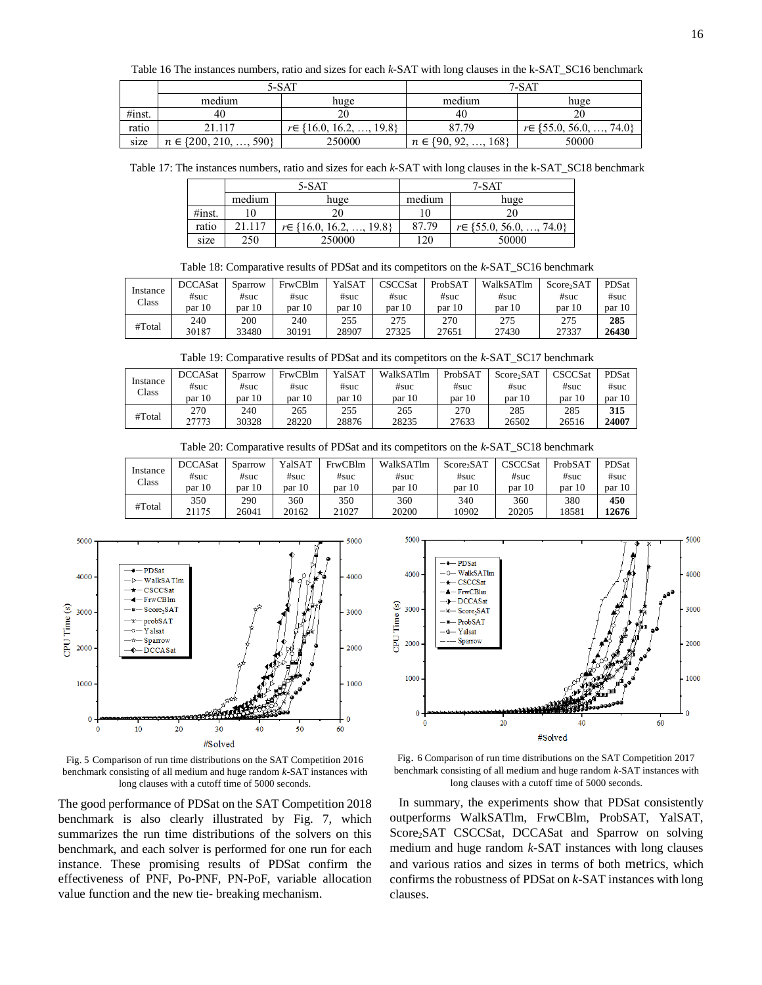Table 16 The instances numbers, ratio and sizes for each *k*-SAT with long clauses in the k-SAT\_SC16 benchmark

|           |                             | $5-SAT$                              |                           | $7-SAT$                               |
|-----------|-----------------------------|--------------------------------------|---------------------------|---------------------------------------|
|           | medium                      | huge                                 | medium                    | huge                                  |
| $\#inst.$ | 40                          | 20                                   | 40                        | 20                                    |
| ratio     | 21.117                      | $r \in \{16.0, 16.2, \ldots, 19.8\}$ | 87.79                     | $r \in \{55.0, 56.0, \ldots,$<br>74.0 |
| size      | $n \in \{200, 210, , 590\}$ | 250000                               | $n \in \{90, 92, , 168\}$ | 50000                                 |

Table 17: The instances numbers, ratio and sizes for each *k*-SAT with long clauses in the k-SAT\_SC18 benchmark

|           |        | 5-SAT                                |                 | 7-SAT                                 |
|-----------|--------|--------------------------------------|-----------------|---------------------------------------|
|           | medium | huge                                 | medium          | huge                                  |
| $\#inst.$ | 10     |                                      | 10              | 20                                    |
| ratio     | 21.117 | $r \in \{16.0, 16.2, \ldots, 19.8\}$ | 87.79           | $r \in \{55.0, 56.0, \ldots,$<br>74.0 |
| size      | 250    | 250000                               | $\overline{20}$ | 50000                                 |

Table 18: Comparative results of PDSat and its competitors on the *k*-SAT\_SC16 benchmark

|              | <b>DCCASat</b> | Sparrow | FrwCBlm | YalSAT  | CSCCSat | ProbSAT | WalkSATlm | Score <sub>2</sub> SAT | PDSat   |
|--------------|----------------|---------|---------|---------|---------|---------|-----------|------------------------|---------|
| Instance     | #succ          | #succ   | #suc    | $#$ suc | $#$ suc | #suc    | #succ     | $#$ suc                | $#$ suc |
| <b>Class</b> | par 10         | par 10  | par 10  | par 10  | par 10  | par 10  | par 10    | par 10                 | par 10  |
| #Total       | 240            | 200     | 240     | 255     | 275     | 270     | 275       | 275                    | 285     |
|              | 30187          | 33480   | 30191   | 28907   | 27325   | 27651   | 27430     | 27337                  | 26430   |

Table 19: Comparative results of PDSat and its competitors on the *k*-SAT\_SC17 benchmark

|                   | <b>DCCASat</b> | Sparrow | FrwCBlm | YalSAT | WalkSATlm | ProbSAT | Score <sub>2</sub> SAT | <b>CSCCSat</b> | PDSat        |
|-------------------|----------------|---------|---------|--------|-----------|---------|------------------------|----------------|--------------|
| Instance<br>Class | #suc           | $#$ suc | #succ   | #succ  | $#$ suc   | #succ   | $#$ suc                | #succ          | $#$ suc      |
|                   | par 10         | par 10  | par 10  | par 10 | par 10    | par 10  | par 10                 | par 10         | par 10       |
|                   | 270            | 240     | 265     | 255    | 265       | 270     | 285                    | 285            | 315          |
| #Total            | 27773          | 30328   | 28220   | 28876  | 28235     | 27633   | 26502                  | 26516          | <b>24007</b> |

Table 20: Comparative results of PDSat and its competitors on the *k*-SAT\_SC18 benchmark

| Instance | DCCASat | Sparrow | YalSAT | FrwCBlm | WalkSATlm | Score <sub>2</sub> SAT | <b>CSCCSat</b> | ProbSAT | <b>PDSat</b> |
|----------|---------|---------|--------|---------|-----------|------------------------|----------------|---------|--------------|
| Class    | #succ   | #succ   | #succ  | $#$ suc | $#$ suc   | $#$ suc                | $#$ suc        | $#$ suc | $#$ suc      |
|          | par 10  | par 10  | par 10 | par 10  | par 10    | par 10                 | par 10         | par 10  | par 10       |
|          | 350     | 290     | 360    | 350     | 360       | 340                    | 360            | 380     | 450          |
| #Total   | 21175   | 26041   | 20162  | 21027   | 20200     | 10902                  | 20205          | 18581   | 12676        |



Fig. 5 Comparison of run time distributions on the SAT Competition 2016 benchmark consisting of all medium and huge random *k*-SAT instances with long clauses with a cutoff time of 5000 seconds.

The good performance of PDSat on the SAT Competition 2018 benchmark is also clearly illustrated by Fig. 7, which summarizes the run time distributions of the solvers on this benchmark, and each solver is performed for one run for each instance. These promising results of PDSat confirm the effectiveness of PNF, Po-PNF, PN-PoF, variable allocation value function and the new tie- breaking mechanism.



Fig. 6 Comparison of run time distributions on the SAT Competition 2017 benchmark consisting of all medium and huge random *k*-SAT instances with long clauses with a cutoff time of 5000 seconds.

In summary, the experiments show that PDSat consistently outperforms WalkSATlm, FrwCBlm, ProbSAT, YalSAT, Score<sub>2</sub>SAT CSCCSat, DCCASat and Sparrow on solving medium and huge random *k*-SAT instances with long clauses and various ratios and sizes in terms of both metrics, which confirms the robustness of PDSat on *k*-SAT instances with long clauses.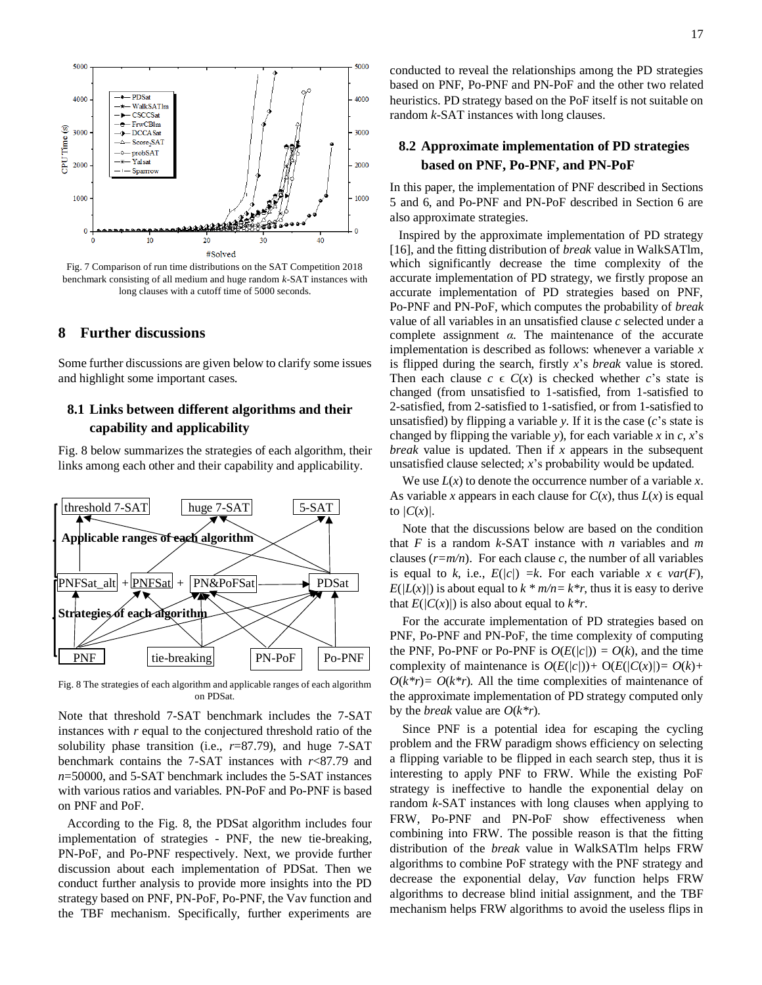

Fig. 7 Comparison of run time distributions on the SAT Competition 2018 benchmark consisting of all medium and huge random *k*-SAT instances with long clauses with a cutoff time of 5000 seconds.

# **8 Further discussions**

Some further discussions are given below to clarify some issues and highlight some important cases.

# **8.1 Links between different algorithms and their capability and applicability**

Fig. 8 below summarizes the strategies of each algorithm, their links among each other and their capability and applicability.



Fig. 8 The strategies of each algorithm and applicable ranges of each algorithm on PDSat.

Note that threshold 7-SAT benchmark includes the 7-SAT instances with *r* equal to the conjectured threshold ratio of the solubility phase transition (i.e., *r*=87.79), and huge 7-SAT benchmark contains the 7-SAT instances with *r*<87.79 and *n*=50000, and 5-SAT benchmark includes the 5-SAT instances with various ratios and variables. PN-PoF and Po-PNF is based on PNF and PoF.

According to the Fig. 8, the PDSat algorithm includes four implementation of strategies - PNF, the new tie-breaking, PN-PoF, and Po-PNF respectively. Next, we provide further discussion about each implementation of PDSat. Then we conduct further analysis to provide more insights into the PD strategy based on PNF, PN-PoF, Po-PNF, the Vav function and the TBF mechanism. Specifically, further experiments are

conducted to reveal the relationships among the PD strategies based on PNF, Po-PNF and PN-PoF and the other two related heuristics. PD strategy based on the PoF itself is not suitable on random *k*-SAT instances with long clauses.

# **8.2 Approximate implementation of PD strategies based on PNF, Po-PNF, and PN-PoF**

In this paper, the implementation of PNF described in Sections 5 and 6, and Po-PNF and PN-PoF described in Section 6 are also approximate strategies.

Inspired by the approximate implementation of PD strategy [16], and the fitting distribution of *break* value in WalkSATlm, which significantly decrease the time complexity of the accurate implementation of PD strategy, we firstly propose an accurate implementation of PD strategies based on PNF, Po-PNF and PN-PoF, which computes the probability of *break* value of all variables in an unsatisfied clause *c* selected under a complete assignment *α*. The maintenance of the accurate implementation is described as follows: whenever a variable *x* is flipped during the search, firstly *x*'s *break* value is stored. Then each clause  $c \in C(x)$  is checked whether *c*'s state is changed (from unsatisfied to 1-satisfied, from 1-satisfied to 2-satisfied, from 2-satisfied to 1-satisfied, or from 1-satisfied to unsatisfied) by flipping a variable *y*. If it is the case (*c*'s state is changed by flipping the variable *y*), for each variable *x* in *c*, *x*'s *break* value is updated. Then if *x* appears in the subsequent unsatisfied clause selected; *x*'s probability would be updated.

We use  $L(x)$  to denote the occurrence number of a variable x. As variable *x* appears in each clause for  $C(x)$ , thus  $L(x)$  is equal to  $/C(x)$ .

Note that the discussions below are based on the condition that *F* is a random *k*-SAT instance with *n* variables and *m* clauses  $(r=m/n)$ . For each clause *c*, the number of all variables is equal to *k*, i.e.,  $E(|c|) = k$ . For each variable  $x \in var(F)$ ,  $E(|L(x)|)$  is about equal to  $k * m/n = k*r$ , thus it is easy to derive that  $E(|C(x)|)$  is also about equal to  $k^*r$ .

For the accurate implementation of PD strategies based on PNF, Po-PNF and PN-PoF, the time complexity of computing the PNF, Po-PNF or Po-PNF is  $O(E(\sqrt{c})) = O(k)$ , and the time complexity of maintenance is  $O(E(|c|)) + O(E(|C(x)|) = O(k) +$  $O(k^*r) = O(k^*r)$ . All the time complexities of maintenance of the approximate implementation of PD strategy computed only by the *break* value are  $O(k^*r)$ .

Since PNF is a potential idea for escaping the cycling problem and the FRW paradigm shows efficiency on selecting a flipping variable to be flipped in each search step, thus it is interesting to apply PNF to FRW. While the existing PoF strategy is ineffective to handle the exponential delay on random *k*-SAT instances with long clauses when applying to FRW, Po-PNF and PN-PoF show effectiveness when combining into FRW. The possible reason is that the fitting distribution of the *break* value in WalkSATlm helps FRW algorithms to combine PoF strategy with the PNF strategy and decrease the exponential delay, *Vav* function helps FRW algorithms to decrease blind initial assignment, and the TBF mechanism helps FRW algorithms to avoid the useless flips in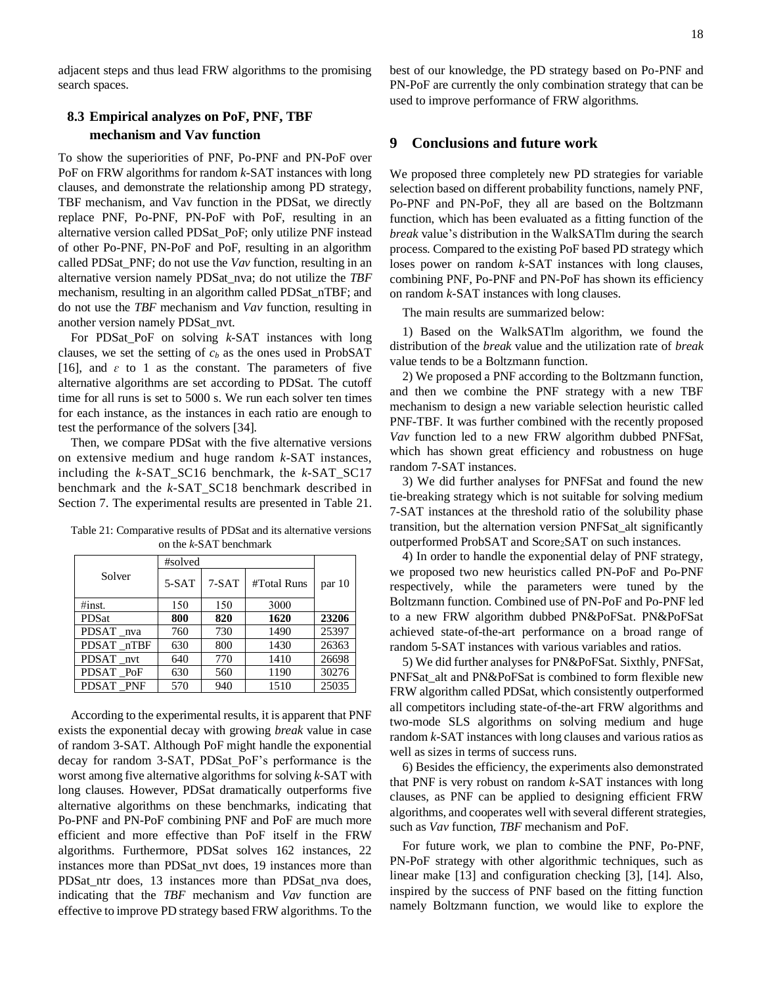adjacent steps and thus lead FRW algorithms to the promising search spaces.

# **8.3 Empirical analyzes on PoF, PNF, TBF mechanism and Vav function**

To show the superiorities of PNF, Po-PNF and PN-PoF over PoF on FRW algorithms for random *k*-SAT instances with long clauses, and demonstrate the relationship among PD strategy, TBF mechanism, and Vav function in the PDSat, we directly replace PNF, Po-PNF, PN-PoF with PoF, resulting in an alternative version called PDSat\_PoF; only utilize PNF instead of other Po-PNF, PN-PoF and PoF, resulting in an algorithm called PDSat\_PNF; do not use the *Vav* function, resulting in an alternative version namely PDSat\_nva; do not utilize the *TBF* mechanism, resulting in an algorithm called PDSat\_nTBF; and do not use the *TBF* mechanism and *Vav* function, resulting in another version namely PDSat\_nvt.

For PDSat\_PoF on solving *k*-SAT instances with long clauses, we set the setting of  $c<sub>b</sub>$  as the ones used in ProbSAT [16], and  $\varepsilon$  to 1 as the constant. The parameters of five alternative algorithms are set according to PDSat. The cutoff time for all runs is set to 5000 s. We run each solver ten times for each instance, as the instances in each ratio are enough to test the performance of the solvers [34].

Then, we compare PDSat with the five alternative versions on extensive medium and huge random *k*-SAT instances, including the *k*-SAT\_SC16 benchmark, the *k*-SAT\_SC17 benchmark and the *k*-SAT\_SC18 benchmark described in Section 7. The experimental results are presented in Table 21.

Table 21: Comparative results of PDSat and its alternative versions on the *k*-SAT benchmark

|            | #solved |       |             |        |  |
|------------|---------|-------|-------------|--------|--|
| Solver     | $5-SAT$ | 7-SAT | #Total Runs | par 10 |  |
| $\#inst.$  | 150     | 150   | 3000        |        |  |
| PDSat      | 800     | 820   | 1620        | 23206  |  |
| PDSAT nva  | 760     | 730   | 1490        | 25397  |  |
| PDSAT nTBF | 630     | 800   | 1430        | 26363  |  |
| PDSAT nvt  | 640     | 770   | 1410        | 26698  |  |
| PDSAT PoF  | 630     | 560   | 1190        | 30276  |  |
| PDSAT PNF  | 570     | 940   | 1510        | 25035  |  |

According to the experimental results, it is apparent that PNF exists the exponential decay with growing *break* value in case of random 3-SAT. Although PoF might handle the exponential decay for random 3-SAT, PDSat\_PoF's performance is the worst among five alternative algorithms for solving *k*-SAT with long clauses. However, PDSat dramatically outperforms five alternative algorithms on these benchmarks, indicating that Po-PNF and PN-PoF combining PNF and PoF are much more efficient and more effective than PoF itself in the FRW algorithms. Furthermore, PDSat solves 162 instances, 22 instances more than PDSat\_nvt does, 19 instances more than PDSat\_ntr does, 13 instances more than PDSat\_nva does, indicating that the *TBF* mechanism and *Vav* function are effective to improve PD strategy based FRW algorithms. To the

best of our knowledge, the PD strategy based on Po-PNF and PN-PoF are currently the only combination strategy that can be used to improve performance of FRW algorithms.

## **9 Conclusions and future work**

We proposed three completely new PD strategies for variable selection based on different probability functions, namely PNF, Po-PNF and PN-PoF, they all are based on the Boltzmann function, which has been evaluated as a fitting function of the *break* value's distribution in the WalkSATlm during the search process. Compared to the existing PoF based PD strategy which loses power on random *k*-SAT instances with long clauses, combining PNF, Po-PNF and PN-PoF has shown its efficiency on random *k*-SAT instances with long clauses.

The main results are summarized below:

1) Based on the WalkSATlm algorithm, we found the distribution of the *break* value and the utilization rate of *break* value tends to be a Boltzmann function.

2) We proposed a PNF according to the Boltzmann function, and then we combine the PNF strategy with a new TBF mechanism to design a new variable selection heuristic called PNF-TBF. It was further combined with the recently proposed *Vav* function led to a new FRW algorithm dubbed PNFSat, which has shown great efficiency and robustness on huge random 7-SAT instances.

3) We did further analyses for PNFSat and found the new tie-breaking strategy which is not suitable for solving medium 7-SAT instances at the threshold ratio of the solubility phase transition, but the alternation version PNFSat\_alt significantly outperformed ProbSAT and Score<sub>2</sub>SAT on such instances.

4) In order to handle the exponential delay of PNF strategy, we proposed two new heuristics called PN-PoF and Po-PNF respectively, while the parameters were tuned by the Boltzmann function. Combined use of PN-PoF and Po-PNF led to a new FRW algorithm dubbed PN&PoFSat. PN&PoFSat achieved state-of-the-art performance on a broad range of random 5-SAT instances with various variables and ratios.

5) We did further analyses for PN&PoFSat. Sixthly, PNFSat, PNFSat\_alt and PN&PoFSat is combined to form flexible new FRW algorithm called PDSat, which consistently outperformed all competitors including state-of-the-art FRW algorithms and two-mode SLS algorithms on solving medium and huge random *k*-SAT instances with long clauses and various ratios as well as sizes in terms of success runs.

6) Besides the efficiency, the experiments also demonstrated that PNF is very robust on random *k*-SAT instances with long clauses, as PNF can be applied to designing efficient FRW algorithms, and cooperates well with several different strategies, such as *Vav* function, *TBF* mechanism and PoF.

For future work, we plan to combine the PNF, Po-PNF, PN-PoF strategy with other algorithmic techniques, such as linear make [13] and configuration checking [3], [14]. Also, inspired by the success of PNF based on the fitting function namely Boltzmann function, we would like to explore the